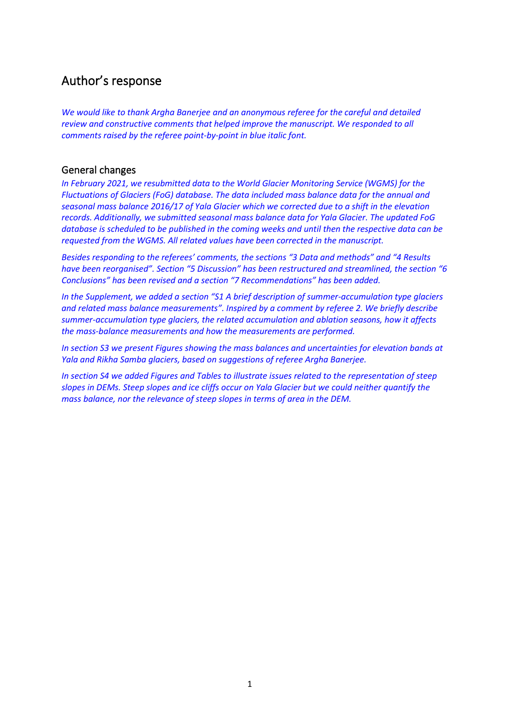# Author's response

*We would like to thank Argha Banerjee and an anonymous referee for the careful and detailed review and constructive comments that helped improve the manuscript. We responded to all comments raised by the referee point-by-point in blue italic font.*

# General changes

*In February 2021, we resubmitted data to the World Glacier Monitoring Service (WGMS) for the Fluctuations of Glaciers (FoG) database. The data included mass balance data for the annual and seasonal mass balance 2016/17 of Yala Glacier which we corrected due to a shift in the elevation records. Additionally, we submitted seasonal mass balance data for Yala Glacier. The updated FoG database is scheduled to be published in the coming weeks and until then the respective data can be requested from the WGMS. All related values have been corrected in the manuscript.*

*Besides responding to the referees' comments, the sections "3 Data and methods" and "4 Results have been reorganised". Section "5 Discussion" has been restructured and streamlined, the section "6 Conclusions" has been revised and a section "7 Recommendations" has been added.*

*In the Supplement, we added a section "S1 A brief description of summer-accumulation type glaciers and related mass balance measurements". Inspired by a comment by referee 2. We briefly describe summer-accumulation type glaciers, the related accumulation and ablation seasons, how it affects the mass-balance measurements and how the measurements are performed.*

*In section S3 we present Figures showing the mass balances and uncertainties for elevation bands at Yala and Rikha Samba glaciers, based on suggestions of referee Argha Banerjee.*

*In section S4 we added Figures and Tables to illustrate issues related to the representation of steep slopes in DEMs. Steep slopes and ice cliffs occur on Yala Glacier but we could neither quantify the mass balance, nor the relevance of steep slopes in terms of area in the DEM.*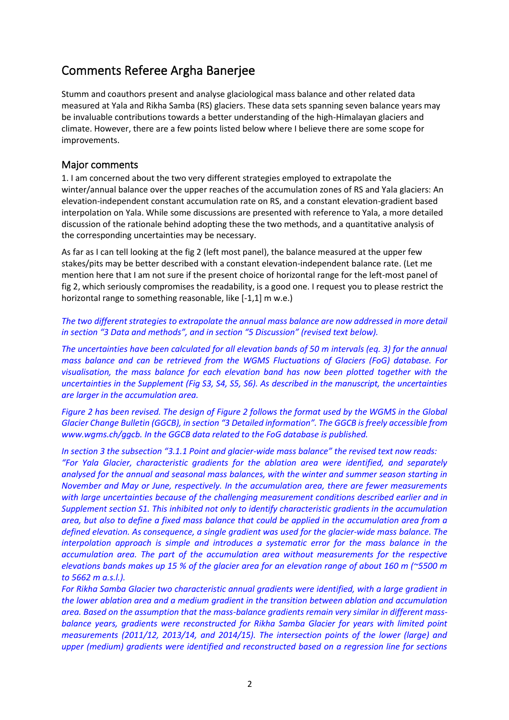# Comments Referee Argha Banerjee

Stumm and coauthors present and analyse glaciological mass balance and other related data measured at Yala and Rikha Samba (RS) glaciers. These data sets spanning seven balance years may be invaluable contributions towards a better understanding of the high-Himalayan glaciers and climate. However, there are a few points listed below where I believe there are some scope for improvements.

# Major comments

1. I am concerned about the two very different strategies employed to extrapolate the winter/annual balance over the upper reaches of the accumulation zones of RS and Yala glaciers: An elevation-independent constant accumulation rate on RS, and a constant elevation-gradient based interpolation on Yala. While some discussions are presented with reference to Yala, a more detailed discussion of the rationale behind adopting these the two methods, and a quantitative analysis of the corresponding uncertainties may be necessary.

As far as I can tell looking at the fig 2 (left most panel), the balance measured at the upper few stakes/pits may be better described with a constant elevation-independent balance rate. (Let me mention here that I am not sure if the present choice of horizontal range for the left-most panel of fig 2, which seriously compromises the readability, is a good one. I request you to please restrict the horizontal range to something reasonable, like [-1,1] m w.e.)

*The two different strategies to extrapolate the annual mass balance are now addressed in more detail in section "3 Data and methods", and in section "5 Discussion" (revised text below).*

*The uncertainties have been calculated for all elevation bands of 50 m intervals (eq. 3) for the annual mass balance and can be retrieved from the WGMS Fluctuations of Glaciers (FoG) database. For visualisation, the mass balance for each elevation band has now been plotted together with the uncertainties in the Supplement (Fig S3, S4, S5, S6). As described in the manuscript, the uncertainties are larger in the accumulation area.* 

*Figure 2 has been revised. The design of Figure 2 follows the format used by the WGMS in the Global Glacier Change Bulletin (GGCB), in section "3 Detailed information". The GGCB is freely accessible from www.wgms.ch/ggcb. In the GGCB data related to the FoG database is published.*

*In section 3 the subsection "3.1.1 Point and glacier-wide mass balance" the revised text now reads: "For Yala Glacier, characteristic gradients for the ablation area were identified, and separately analysed for the annual and seasonal mass balances, with the winter and summer season starting in November and May or June, respectively. In the accumulation area, there are fewer measurements with large uncertainties because of the challenging measurement conditions described earlier and in Supplement section S1. This inhibited not only to identify characteristic gradients in the accumulation area, but also to define a fixed mass balance that could be applied in the accumulation area from a defined elevation. As consequence, a single gradient was used for the glacier-wide mass balance. The interpolation approach is simple and introduces a systematic error for the mass balance in the accumulation area. The part of the accumulation area without measurements for the respective elevations bands makes up 15 % of the glacier area for an elevation range of about 160 m (~5500 m to 5662 m a.s.l.).*

*For Rikha Samba Glacier two characteristic annual gradients were identified, with a large gradient in the lower ablation area and a medium gradient in the transition between ablation and accumulation area. Based on the assumption that the mass-balance gradients remain very similar in different massbalance years, gradients were reconstructed for Rikha Samba Glacier for years with limited point measurements (2011/12, 2013/14, and 2014/15). The intersection points of the lower (large) and upper (medium) gradients were identified and reconstructed based on a regression line for sections*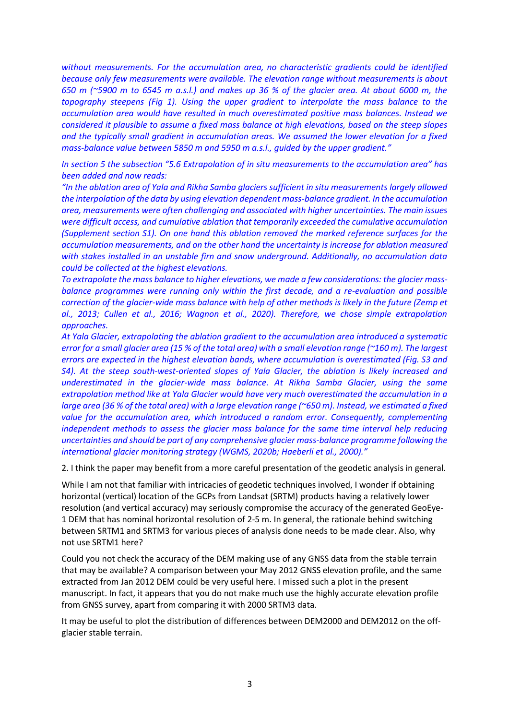*without measurements. For the accumulation area, no characteristic gradients could be identified because only few measurements were available. The elevation range without measurements is about 650 m (~5900 m to 6545 m a.s.l.) and makes up 36 % of the glacier area. At about 6000 m, the topography steepens (Fig 1). Using the upper gradient to interpolate the mass balance to the accumulation area would have resulted in much overestimated positive mass balances. Instead we considered it plausible to assume a fixed mass balance at high elevations, based on the steep slopes and the typically small gradient in accumulation areas. We assumed the lower elevation for a fixed mass-balance value between 5850 m and 5950 m a.s.l., guided by the upper gradient."*

*In section 5 the subsection "5.6 Extrapolation of in situ measurements to the accumulation area" has been added and now reads:*

*"In the ablation area of Yala and Rikha Samba glaciers sufficient in situ measurements largely allowed the interpolation of the data by using elevation dependent mass-balance gradient. In the accumulation area, measurements were often challenging and associated with higher uncertainties. The main issues were difficult access, and cumulative ablation that temporarily exceeded the cumulative accumulation (Supplement section S1). On one hand this ablation removed the marked reference surfaces for the accumulation measurements, and on the other hand the uncertainty is increase for ablation measured with stakes installed in an unstable firn and snow underground. Additionally, no accumulation data could be collected at the highest elevations.*

*To extrapolate the mass balance to higher elevations, we made a few considerations: the glacier massbalance programmes were running only within the first decade, and a re-evaluation and possible correction of the glacier-wide mass balance with help of other methods is likely in the future (Zemp et al., 2013; Cullen et al., 2016; Wagnon et al., 2020). Therefore, we chose simple extrapolation approaches.* 

*At Yala Glacier, extrapolating the ablation gradient to the accumulation area introduced a systematic error for a small glacier area (15 % of the total area) with a small elevation range (~160 m). The largest errors are expected in the highest elevation bands, where accumulation is overestimated (Fig. S3 and S4).* At the steep south-west-oriented slopes of Yala Glacier, the ablation is likely increased and *underestimated in the glacier-wide mass balance. At Rikha Samba Glacier, using the same extrapolation method like at Yala Glacier would have very much overestimated the accumulation in a large area (36 % of the total area) with a large elevation range (~650 m). Instead, we estimated a fixed value for the accumulation area, which introduced a random error. Consequently, complementing independent methods to assess the glacier mass balance for the same time interval help reducing uncertainties and should be part of any comprehensive glacier mass-balance programme following the international glacier monitoring strategy (WGMS, 2020b; Haeberli et al., 2000)."*

2. I think the paper may benefit from a more careful presentation of the geodetic analysis in general.

While I am not that familiar with intricacies of geodetic techniques involved, I wonder if obtaining horizontal (vertical) location of the GCPs from Landsat (SRTM) products having a relatively lower resolution (and vertical accuracy) may seriously compromise the accuracy of the generated GeoEye-1 DEM that has nominal horizontal resolution of 2-5 m. In general, the rationale behind switching between SRTM1 and SRTM3 for various pieces of analysis done needs to be made clear. Also, why not use SRTM1 here?

Could you not check the accuracy of the DEM making use of any GNSS data from the stable terrain that may be available? A comparison between your May 2012 GNSS elevation profile, and the same extracted from Jan 2012 DEM could be very useful here. I missed such a plot in the present manuscript. In fact, it appears that you do not make much use the highly accurate elevation profile from GNSS survey, apart from comparing it with 2000 SRTM3 data.

It may be useful to plot the distribution of differences between DEM2000 and DEM2012 on the offglacier stable terrain.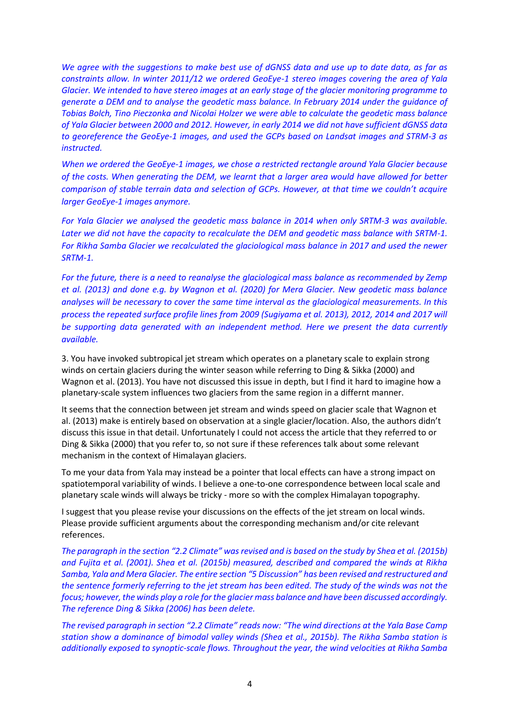*We agree with the suggestions to make best use of dGNSS data and use up to date data, as far as constraints allow. In winter 2011/12 we ordered GeoEye-1 stereo images covering the area of Yala Glacier. We intended to have stereo images at an early stage of the glacier monitoring programme to generate a DEM and to analyse the geodetic mass balance. In February 2014 under the guidance of Tobias Bolch, Tino Pieczonka and Nicolai Holzer we were able to calculate the geodetic mass balance of Yala Glacier between 2000 and 2012. However, in early 2014 we did not have sufficient dGNSS data to georeference the GeoEye-1 images, and used the GCPs based on Landsat images and STRM-3 as instructed.*

*When we ordered the GeoEye-1 images, we chose a restricted rectangle around Yala Glacier because of the costs. When generating the DEM, we learnt that a larger area would have allowed for better comparison of stable terrain data and selection of GCPs. However, at that time we couldn't acquire larger GeoEye-1 images anymore.*

*For Yala Glacier we analysed the geodetic mass balance in 2014 when only SRTM-3 was available. Later we did not have the capacity to recalculate the DEM and geodetic mass balance with SRTM-1. For Rikha Samba Glacier we recalculated the glaciological mass balance in 2017 and used the newer SRTM-1.*

*For the future, there is a need to reanalyse the glaciological mass balance as recommended by Zemp et al. (2013) and done e.g. by Wagnon et al. (2020) for Mera Glacier. New geodetic mass balance analyses will be necessary to cover the same time interval as the glaciological measurements. In this process the repeated surface profile lines from 2009 (Sugiyama et al. 2013), 2012, 2014 and 2017 will be supporting data generated with an independent method. Here we present the data currently available.*

3. You have invoked subtropical jet stream which operates on a planetary scale to explain strong winds on certain glaciers during the winter season while referring to Ding & Sikka (2000) and Wagnon et al. (2013). You have not discussed this issue in depth, but I find it hard to imagine how a planetary-scale system influences two glaciers from the same region in a differnt manner.

It seems that the connection between jet stream and winds speed on glacier scale that Wagnon et al. (2013) make is entirely based on observation at a single glacier/location. Also, the authors didn't discuss this issue in that detail. Unfortunately I could not access the article that they referred to or Ding & Sikka (2000) that you refer to, so not sure if these references talk about some relevant mechanism in the context of Himalayan glaciers.

To me your data from Yala may instead be a pointer that local effects can have a strong impact on spatiotemporal variability of winds. I believe a one-to-one correspondence between local scale and planetary scale winds will always be tricky - more so with the complex Himalayan topography.

I suggest that you please revise your discussions on the effects of the jet stream on local winds. Please provide sufficient arguments about the corresponding mechanism and/or cite relevant references.

*The paragraph in the section "2.2 Climate" wasrevised and is based on the study by Shea et al. (2015b) and Fujita et al. (2001). Shea et al. (2015b) measured, described and compared the winds at Rikha Samba, Yala and Mera Glacier. The entire section "5 Discussion" has been revised and restructured and the sentence formerly referring to the jet stream has been edited. The study of the winds was not the focus; however, the winds play a role for the glacier mass balance and have been discussed accordingly. The reference Ding & Sikka (2006) has been delete.* 

*The revised paragraph in section "2.2 Climate" reads now: "The wind directions at the Yala Base Camp station show a dominance of bimodal valley winds (Shea et al., 2015b). The Rikha Samba station is additionally exposed to synoptic-scale flows. Throughout the year, the wind velocities at Rikha Samba*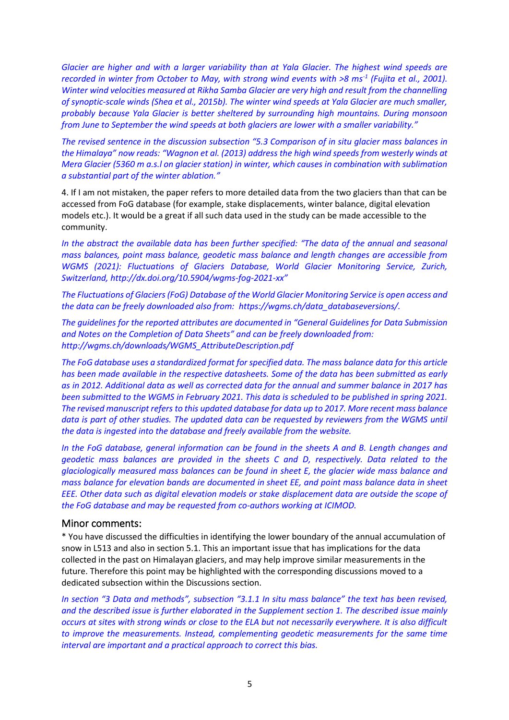*Glacier are higher and with a larger variability than at Yala Glacier. The highest wind speeds are recorded in winter from October to May, with strong wind events with >8 ms-1 (Fujita et al., 2001). Winter wind velocities measured at Rikha Samba Glacier are very high and result from the channelling of synoptic-scale winds (Shea et al., 2015b). The winter wind speeds at Yala Glacier are much smaller, probably because Yala Glacier is better sheltered by surrounding high mountains. During monsoon from June to September the wind speeds at both glaciers are lower with a smaller variability."*

*The revised sentence in the discussion subsection "5.3 Comparison of in situ glacier mass balances in the Himalaya" now reads: "Wagnon et al. (2013) address the high wind speeds from westerly winds at Mera Glacier (5360 m a.s.l on glacier station) in winter, which causes in combination with sublimation a substantial part of the winter ablation."*

4. If I am not mistaken, the paper refers to more detailed data from the two glaciers than that can be accessed from FoG database (for example, stake displacements, winter balance, digital elevation models etc.). It would be a great if all such data used in the study can be made accessible to the community.

*In the abstract the available data has been further specified: "The data of the annual and seasonal mass balances, point mass balance, geodetic mass balance and length changes are accessible from WGMS (2021): Fluctuations of Glaciers Database, World Glacier Monitoring Service, Zurich, Switzerland, http://dx.doi.org/10.5904/wgms-fog-2021-xx"*

*The Fluctuations of Glaciers (FoG) Database of the World Glacier Monitoring Service is open access and the data can be freely downloaded also from: https://wgms.ch/data\_databaseversions/.*

*The guidelines for the reported attributes are documented in "General Guidelines for Data Submission and Notes on the Completion of Data Sheets" and can be freely downloaded from: http://wgms.ch/downloads/WGMS\_AttributeDescription.pdf*

*The FoG database uses a standardized format for specified data. The mass balance data for this article has been made available in the respective datasheets. Some of the data has been submitted as early as in 2012. Additional data as well as corrected data for the annual and summer balance in 2017 has been submitted to the WGMS in February 2021. This data is scheduled to be published in spring 2021. The revised manuscript refers to this updated database for data up to 2017. More recent mass balance data is part of other studies. The updated data can be requested by reviewers from the WGMS until the data is ingested into the database and freely available from the website.* 

*In the FoG database, general information can be found in the sheets A and B. Length changes and geodetic mass balances are provided in the sheets C and D, respectively. Data related to the glaciologically measured mass balances can be found in sheet E, the glacier wide mass balance and mass balance for elevation bands are documented in sheet EE, and point mass balance data in sheet EEE. Other data such as digital elevation models or stake displacement data are outside the scope of the FoG database and may be requested from co-authors working at ICIMOD.*

# Minor comments:

\* You have discussed the difficulties in identifying the lower boundary of the annual accumulation of snow in L513 and also in section 5.1. This an important issue that has implications for the data collected in the past on Himalayan glaciers, and may help improve similar measurements in the future. Therefore this point may be highlighted with the corresponding discussions moved to a dedicated subsection within the Discussions section.

*In section "3 Data and methods", subsection "3.1.1 In situ mass balance" the text has been revised, and the described issue is further elaborated in the Supplement section 1. The described issue mainly occurs at sites with strong winds or close to the ELA but not necessarily everywhere. It is also difficult to improve the measurements. Instead, complementing geodetic measurements for the same time interval are important and a practical approach to correct this bias.*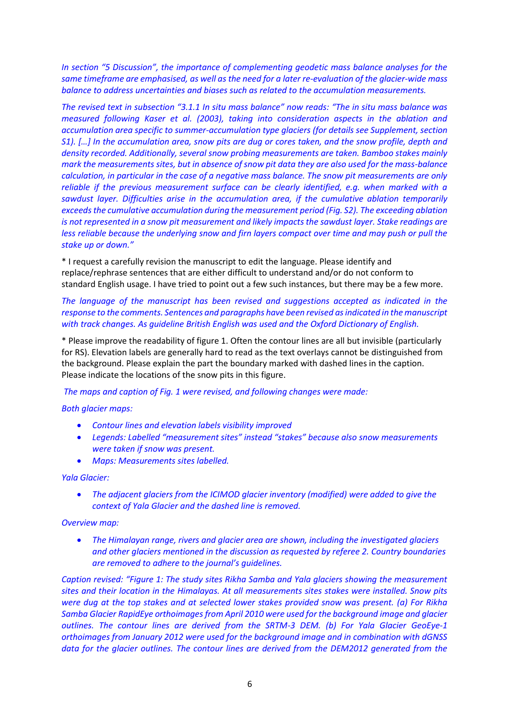*In section "5 Discussion", the importance of complementing geodetic mass balance analyses for the same timeframe are emphasised, as well as the need for a later re-evaluation of the glacier-wide mass balance to address uncertainties and biases such as related to the accumulation measurements.*

*The revised text in subsection "3.1.1 In situ mass balance" now reads: "The in situ mass balance was measured following Kaser et al. (2003), taking into consideration aspects in the ablation and accumulation area specific to summer-accumulation type glaciers (for details see Supplement, section S1). […] In the accumulation area, snow pits are dug or cores taken, and the snow profile, depth and density recorded. Additionally, several snow probing measurements are taken. Bamboo stakes mainly mark the measurements sites, but in absence of snow pit data they are also used for the mass-balance calculation, in particular in the case of a negative mass balance. The snow pit measurements are only reliable if the previous measurement surface can be clearly identified, e.g. when marked with a sawdust layer. Difficulties arise in the accumulation area, if the cumulative ablation temporarily exceeds the cumulative accumulation during the measurement period (Fig. S2). The exceeding ablation is not represented in a snow pit measurement and likely impacts the sawdust layer. Stake readings are less reliable because the underlying snow and firn layers compact over time and may push or pull the stake up or down."*

\* I request a carefully revision the manuscript to edit the language. Please identify and replace/rephrase sentences that are either difficult to understand and/or do not conform to standard English usage. I have tried to point out a few such instances, but there may be a few more.

*The language of the manuscript has been revised and suggestions accepted as indicated in the response to the comments. Sentences and paragraphs have been revised as indicated in the manuscript with track changes. As guideline British English was used and the Oxford Dictionary of English.*

\* Please improve the readability of figure 1. Often the contour lines are all but invisible (particularly for RS). Elevation labels are generally hard to read as the text overlays cannot be distinguished from the background. Please explain the part the boundary marked with dashed lines in the caption. Please indicate the locations of the snow pits in this figure.

*The maps and caption of Fig. 1 were revised, and following changes were made:*

#### *Both glacier maps:*

- *Contour lines and elevation labels visibility improved*
- *Legends: Labelled "measurement sites" instead "stakes" because also snow measurements were taken if snow was present.*
- *Maps: Measurements sites labelled.*

#### *Yala Glacier:*

• *The adjacent glaciers from the ICIMOD glacier inventory (modified) were added to give the context of Yala Glacier and the dashed line is removed.*

#### *Overview map:*

• *The Himalayan range, rivers and glacier area are shown, including the investigated glaciers and other glaciers mentioned in the discussion as requested by referee 2. Country boundaries are removed to adhere to the journal's guidelines.*

*Caption revised: "Figure 1: The study sites Rikha Samba and Yala glaciers showing the measurement sites and their location in the Himalayas. At all measurements sites stakes were installed. Snow pits were dug at the top stakes and at selected lower stakes provided snow was present. (a) For Rikha Samba Glacier RapidEye orthoimages from April 2010 were used for the background image and glacier outlines. The contour lines are derived from the SRTM-3 DEM. (b) For Yala Glacier GeoEye-1 orthoimages from January 2012 were used for the background image and in combination with dGNSS data for the glacier outlines. The contour lines are derived from the DEM2012 generated from the*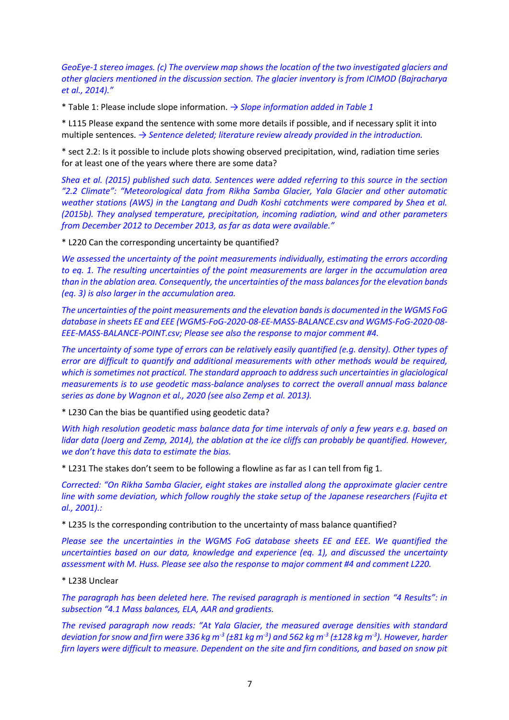*GeoEye-1 stereo images. (c) The overview map shows the location of the two investigated glaciers and other glaciers mentioned in the discussion section. The glacier inventory is from ICIMOD (Bajracharya et al., 2014)."*

\* Table 1: Please include slope information. *→ Slope information added in Table 1* 

\* L115 Please expand the sentence with some more details if possible, and if necessary split it into multiple sentences. *→ Sentence deleted; literature review already provided in the introduction.*

\* sect 2.2: Is it possible to include plots showing observed precipitation, wind, radiation time series for at least one of the years where there are some data?

*Shea et al. (2015) published such data. Sentences were added referring to this source in the section "2.2 Climate": "Meteorological data from Rikha Samba Glacier, Yala Glacier and other automatic weather stations (AWS) in the Langtang and Dudh Koshi catchments were compared by Shea et al. (2015b). They analysed temperature, precipitation, incoming radiation, wind and other parameters from December 2012 to December 2013, as far as data were available."*

\* L220 Can the corresponding uncertainty be quantified?

*We assessed the uncertainty of the point measurements individually, estimating the errors according to eq. 1. The resulting uncertainties of the point measurements are larger in the accumulation area than in the ablation area. Consequently, the uncertainties of the mass balancesfor the elevation bands (eq. 3) is also larger in the accumulation area.* 

*The uncertainties of the point measurements and the elevation bands is documented in the WGMS FoG database in sheets EE and EEE (WGMS-FoG-2020-08-EE-MASS-BALANCE.csv and WGMS-FoG-2020-08- EEE-MASS-BALANCE-POINT.csv; Please see also the response to major comment #4.*

*The uncertainty of some type of errors can be relatively easily quantified (e.g. density). Other types of error are difficult to quantify and additional measurements with other methods would be required, which is sometimes not practical. The standard approach to address such uncertainties in glaciological measurements is to use geodetic mass-balance analyses to correct the overall annual mass balance series as done by Wagnon et al., 2020 (see also Zemp et al. 2013).* 

\* L230 Can the bias be quantified using geodetic data?

*With high resolution geodetic mass balance data for time intervals of only a few years e.g. based on lidar data (Joerg and Zemp, 2014), the ablation at the ice cliffs can probably be quantified. However, we don't have this data to estimate the bias.*

\* L231 The stakes don't seem to be following a flowline as far as I can tell from fig 1.

*Corrected: "On Rikha Samba Glacier, eight stakes are installed along the approximate glacier centre line with some deviation, which follow roughly the stake setup of the Japanese researchers (Fujita et al., 2001).:*

\* L235 Is the corresponding contribution to the uncertainty of mass balance quantified?

*Please see the uncertainties in the WGMS FoG database sheets EE and EEE. We quantified the uncertainties based on our data, knowledge and experience (eq. 1), and discussed the uncertainty assessment with M. Huss. Please see also the response to major comment #4 and comment L220.*

\* L238 Unclear

*The paragraph has been deleted here. The revised paragraph is mentioned in section "4 Results": in subsection "4.1 Mass balances, ELA, AAR and gradients.*

*The revised paragraph now reads: "At Yala Glacier, the measured average densities with standard deviation for snow and firn were 336 kg m-3 (±81 kg m-3 ) and 562 kg m-3 (±128 kg m-3 ). However, harder firn layers were difficult to measure. Dependent on the site and firn conditions, and based on snow pit*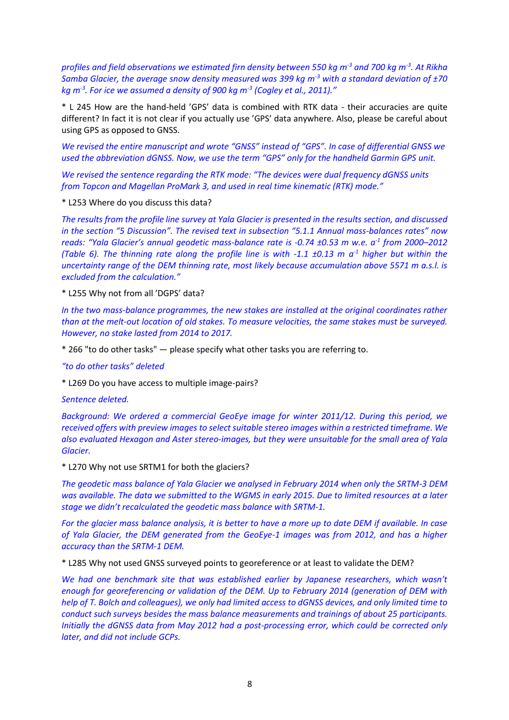*profiles and field observations we estimated firn density between 550 kg m-3 and 700 kg m-3 . At Rikha Samba Glacier, the average snow density measured was 399 kg m-3 with a standard deviation of ±70 kg m-3 . For ice we assumed a density of 900 kg m-3 (Cogley et al., 2011)."*

\* L 245 How are the hand-held 'GPS' data is combined with RTK data - their accuracies are quite different? In fact it is not clear if you actually use 'GPS' data anywhere. Also, please be careful about using GPS as opposed to GNSS.

*We revised the entire manuscript and wrote "GNSS" instead of "GPS". In case of differential GNSS we used the abbreviation dGNSS. Now, we use the term "GPS" only for the handheld Garmin GPS unit.* 

*We revised the sentence regarding the RTK mode: "The devices were dual frequency dGNSS units from Topcon and Magellan ProMark 3, and used in real time kinematic (RTK) mode."*

\* L253 Where do you discuss this data?

*The results from the profile line survey at Yala Glacier is presented in the results section, and discussed in the section "5 Discussion". The revised text in subsection "5.1.1 Annual mass-balances rates" now reads: "Yala Glacier's annual geodetic mass-balance rate is -0.74 ±0.53 m w.e. a-1 from 2000–2012 (Table 6). The thinning rate along the profile line is with -1.1 ±0.13 m a-1 higher but within the uncertainty range of the DEM thinning rate, most likely because accumulation above 5571 m a.s.l. is excluded from the calculation."*

\* L255 Why not from all 'DGPS' data?

*In the two mass-balance programmes, the new stakes are installed at the original coordinates rather than at the melt-out location of old stakes. To measure velocities, the same stakes must be surveyed. However, no stake lasted from 2014 to 2017.*

\* 266 "to do other tasks" — please specify what other tasks you are referring to.

*"to do other tasks" deleted*

\* L269 Do you have access to multiple image-pairs?

*Sentence deleted.*

*Background: We ordered a commercial GeoEye image for winter 2011/12. During this period, we received offers with preview images to select suitable stereo images within a restricted timeframe. We also evaluated Hexagon and Aster stereo-images, but they were unsuitable for the small area of Yala Glacier.*

\* L270 Why not use SRTM1 for both the glaciers?

*The geodetic mass balance of Yala Glacier we analysed in February 2014 when only the SRTM-3 DEM was available. The data we submitted to the WGMS in early 2015. Due to limited resources at a later stage we didn't recalculated the geodetic mass balance with SRTM-1.*

*For the glacier mass balance analysis, it is better to have a more up to date DEM if available. In case of Yala Glacier, the DEM generated from the GeoEye-1 images was from 2012, and has a higher accuracy than the SRTM-1 DEM.*

\* L285 Why not used GNSS surveyed points to georeference or at least to validate the DEM?

*We had one benchmark site that was established earlier by Japanese researchers, which wasn't enough for georeferencing or validation of the DEM. Up to February 2014 (generation of DEM with help of T. Bolch and colleagues), we only had limited access to dGNSS devices, and only limited time to conduct such surveys besides the mass balance measurements and trainings of about 25 participants. Initially the dGNSS data from May 2012 had a post-processing error, which could be corrected only later, and did not include GCPs.*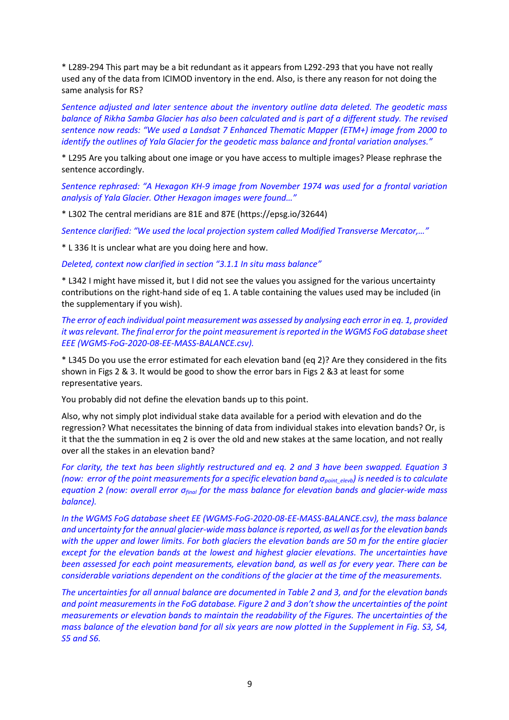\* L289-294 This part may be a bit redundant as it appears from L292-293 that you have not really used any of the data from ICIMOD inventory in the end. Also, is there any reason for not doing the same analysis for RS?

*Sentence adjusted and later sentence about the inventory outline data deleted. The geodetic mass balance of Rikha Samba Glacier has also been calculated and is part of a different study. The revised sentence now reads: "We used a Landsat 7 Enhanced Thematic Mapper (ETM+) image from 2000 to identify the outlines of Yala Glacier for the geodetic mass balance and frontal variation analyses."*

\* L295 Are you talking about one image or you have access to multiple images? Please rephrase the sentence accordingly.

*Sentence rephrased: "A Hexagon KH-9 image from November 1974 was used for a frontal variation analysis of Yala Glacier. Other Hexagon images were found…"*

\* L302 The central meridians are 81E and 87E (https://epsg.io/32644)

*Sentence clarified: "We used the local projection system called Modified Transverse Mercator,…"*

\* L 336 It is unclear what are you doing here and how.

*Deleted, context now clarified in section "3.1.1 In situ mass balance"*

\* L342 I might have missed it, but I did not see the values you assigned for the various uncertainty contributions on the right-hand side of eq 1. A table containing the values used may be included (in the supplementary if you wish).

*The error of each individual point measurement was assessed by analysing each error in eq. 1, provided it was relevant. The final error for the point measurement is reported in the WGMS FoG database sheet EEE (WGMS-FoG-2020-08-EE-MASS-BALANCE.csv).*

\* L345 Do you use the error estimated for each elevation band (eq 2)? Are they considered in the fits shown in Figs 2 & 3. It would be good to show the error bars in Figs 2 &3 at least for some representative years.

You probably did not define the elevation bands up to this point.

Also, why not simply plot individual stake data available for a period with elevation and do the regression? What necessitates the binning of data from individual stakes into elevation bands? Or, is it that the the summation in eq 2 is over the old and new stakes at the same location, and not really over all the stakes in an elevation band?

*For clarity, the text has been slightly restructured and eq. 2 and 3 have been swapped. Equation 3 (now: error of the point measurements for a specific elevation band σpoint\_elevb) is needed is to calculate equation 2 (now: overall error σfinal for the mass balance for elevation bands and glacier-wide mass balance).*

*In the WGMS FoG database sheet EE (WGMS-FoG-2020-08-EE-MASS-BALANCE.csv), the mass balance and uncertainty for the annual glacier-wide mass balance is reported, as well as for the elevation bands with the upper and lower limits. For both glaciers the elevation bands are 50 m for the entire glacier except for the elevation bands at the lowest and highest glacier elevations. The uncertainties have been assessed for each point measurements, elevation band, as well as for every year. There can be considerable variations dependent on the conditions of the glacier at the time of the measurements.* 

*The uncertainties for all annual balance are documented in Table 2 and 3, and for the elevation bands and point measurements in the FoG database. Figure 2 and 3 don't show the uncertainties of the point measurements or elevation bands to maintain the readability of the Figures. The uncertainties of the mass balance of the elevation band for all six years are now plotted in the Supplement in Fig. S3, S4, S5 and S6.*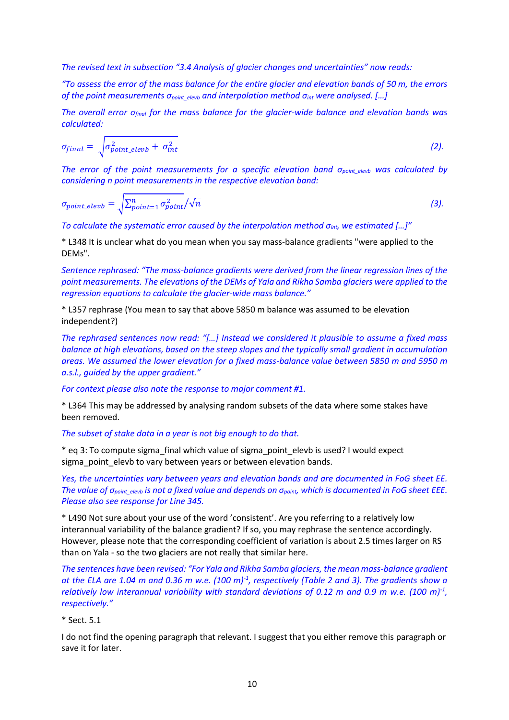*The revised text in subsection "3.4 Analysis of glacier changes and uncertainties" now reads:* 

*"To assess the error of the mass balance for the entire glacier and elevation bands of 50 m, the errors of the point measurements σpoint\_elevb and interpolation method σint were analysed. […]*

*The overall error σfinal for the mass balance for the glacier-wide balance and elevation bands was calculated:*

$$
\sigma_{final} = \sqrt{\sigma_{point\_elevb}^2 + \sigma_{int}^2}
$$
 (2).

*The error of the point measurements for a specific elevation band σpoint\_elevb was calculated by considering n point measurements in the respective elevation band:*

$$
\sigma_{point\_elevb} = \sqrt{\sum_{point=1}^{n} \sigma_{point}^2 / \sqrt{n}}
$$
\n(3)

*To calculate the systematic error caused by the interpolation method σint, we estimated […]"*

\* L348 It is unclear what do you mean when you say mass-balance gradients "were applied to the DEMs".

*Sentence rephrased: "The mass-balance gradients were derived from the linear regression lines of the point measurements. The elevations of the DEMs of Yala and Rikha Samba glaciers were applied to the regression equations to calculate the glacier-wide mass balance."*

\* L357 rephrase (You mean to say that above 5850 m balance was assumed to be elevation independent?)

*The rephrased sentences now read: "[…] Instead we considered it plausible to assume a fixed mass balance at high elevations, based on the steep slopes and the typically small gradient in accumulation areas. We assumed the lower elevation for a fixed mass-balance value between 5850 m and 5950 m a.s.l., guided by the upper gradient."*

*For context please also note the response to major comment #1.*

\* L364 This may be addressed by analysing random subsets of the data where some stakes have been removed.

*The subset of stake data in a year is not big enough to do that.*

\* eq 3: To compute sigma\_final which value of sigma\_point\_elevb is used? I would expect sigma point elevb to vary between years or between elevation bands.

*Yes, the uncertainties vary between years and elevation bands and are documented in FoG sheet EE. The value of σpoint\_elevb is not a fixed value and depends on σpoint, which is documented in FoG sheet EEE. Please also see response for Line 345.*

\* L490 Not sure about your use of the word 'consistent'. Are you referring to a relatively low interannual variability of the balance gradient? If so, you may rephrase the sentence accordingly. However, please note that the corresponding coefficient of variation is about 2.5 times larger on RS than on Yala - so the two glaciers are not really that similar here.

*The sentences have been revised: "For Yala and Rikha Samba glaciers, the mean mass-balance gradient at the ELA are 1.04 m and 0.36 m w.e. (100 m)-1 , respectively (Table 2 and 3). The gradients show a relatively low interannual variability with standard deviations of 0.12 m and 0.9 m w.e. (100 m)-1 , respectively."*

#### \* Sect. 5.1

I do not find the opening paragraph that relevant. I suggest that you either remove this paragraph or save it for later.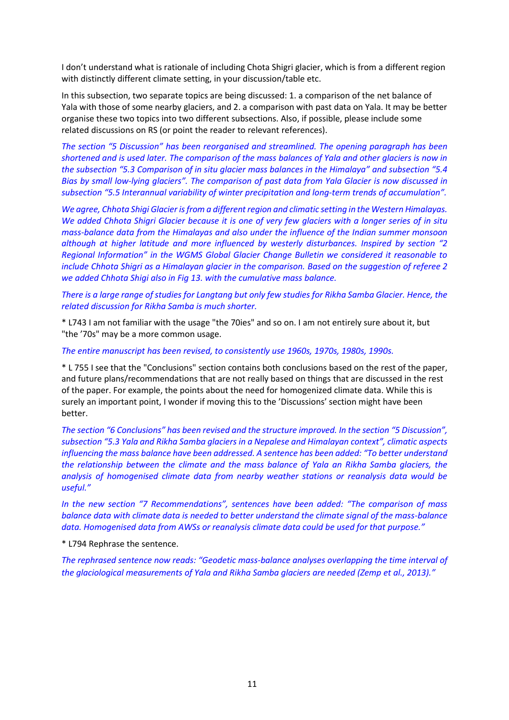I don't understand what is rationale of including Chota Shigri glacier, which is from a different region with distinctly different climate setting, in your discussion/table etc.

In this subsection, two separate topics are being discussed: 1. a comparison of the net balance of Yala with those of some nearby glaciers, and 2. a comparison with past data on Yala. It may be better organise these two topics into two different subsections. Also, if possible, please include some related discussions on RS (or point the reader to relevant references).

*The section "5 Discussion" has been reorganised and streamlined. The opening paragraph has been shortened and is used later. The comparison of the mass balances of Yala and other glaciers is now in the subsection "5.3 Comparison of in situ glacier mass balances in the Himalaya" and subsection "5.4 Bias by small low-lying glaciers". The comparison of past data from Yala Glacier is now discussed in subsection "5.5 Interannual variability of winter precipitation and long-term trends of accumulation".*

*We agree, Chhota Shigi Glacier is from a different region and climatic setting in the Western Himalayas. We added Chhota Shigri Glacier because it is one of very few glaciers with a longer series of in situ mass-balance data from the Himalayas and also under the influence of the Indian summer monsoon although at higher latitude and more influenced by westerly disturbances. Inspired by section "2 Regional Information" in the WGMS Global Glacier Change Bulletin we considered it reasonable to include Chhota Shigri as a Himalayan glacier in the comparison. Based on the suggestion of referee 2 we added Chhota Shigi also in Fig 13. with the cumulative mass balance.*

*There is a large range of studies for Langtang but only few studies for Rikha Samba Glacier. Hence, the related discussion for Rikha Samba is much shorter.*

\* L743 I am not familiar with the usage "the 70ies" and so on. I am not entirely sure about it, but "the '70s" may be a more common usage.

*The entire manuscript has been revised, to consistently use 1960s, 1970s, 1980s, 1990s.*

\* L 755 I see that the "Conclusions" section contains both conclusions based on the rest of the paper, and future plans/recommendations that are not really based on things that are discussed in the rest of the paper. For example, the points about the need for homogenized climate data. While this is surely an important point, I wonder if moving this to the 'Discussions' section might have been better.

*The section "6 Conclusions" has been revised and the structure improved. In the section "5 Discussion", subsection "5.3 Yala and Rikha Samba glaciers in a Nepalese and Himalayan context", climatic aspects influencing the mass balance have been addressed. A sentence has been added: "To better understand the relationship between the climate and the mass balance of Yala an Rikha Samba glaciers, the analysis of homogenised climate data from nearby weather stations or reanalysis data would be useful."*

*In the new section "7 Recommendations", sentences have been added: "The comparison of mass balance data with climate data is needed to better understand the climate signal of the mass-balance data. Homogenised data from AWSs or reanalysis climate data could be used for that purpose."*

\* L794 Rephrase the sentence.

*The rephrased sentence now reads: "Geodetic mass-balance analyses overlapping the time interval of the glaciological measurements of Yala and Rikha Samba glaciers are needed (Zemp et al., 2013)."*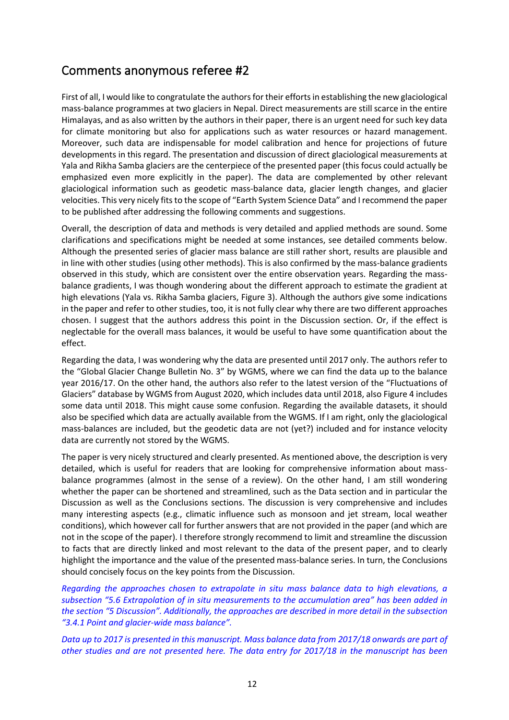# Comments anonymous referee #2

First of all, I would like to congratulate the authors for their efforts in establishing the new glaciological mass-balance programmes at two glaciers in Nepal. Direct measurements are still scarce in the entire Himalayas, and as also written by the authors in their paper, there is an urgent need for such key data for climate monitoring but also for applications such as water resources or hazard management. Moreover, such data are indispensable for model calibration and hence for projections of future developments in this regard. The presentation and discussion of direct glaciological measurements at Yala and Rikha Samba glaciers are the centerpiece of the presented paper (this focus could actually be emphasized even more explicitly in the paper). The data are complemented by other relevant glaciological information such as geodetic mass-balance data, glacier length changes, and glacier velocities. This very nicely fits to the scope of "Earth System Science Data" and I recommend the paper to be published after addressing the following comments and suggestions.

Overall, the description of data and methods is very detailed and applied methods are sound. Some clarifications and specifications might be needed at some instances, see detailed comments below. Although the presented series of glacier mass balance are still rather short, results are plausible and in line with other studies (using other methods). This is also confirmed by the mass-balance gradients observed in this study, which are consistent over the entire observation years. Regarding the massbalance gradients, I was though wondering about the different approach to estimate the gradient at high elevations (Yala vs. Rikha Samba glaciers, Figure 3). Although the authors give some indications in the paper and refer to other studies, too, it is not fully clear why there are two different approaches chosen. I suggest that the authors address this point in the Discussion section. Or, if the effect is neglectable for the overall mass balances, it would be useful to have some quantification about the effect.

Regarding the data, I was wondering why the data are presented until 2017 only. The authors refer to the "Global Glacier Change Bulletin No. 3" by WGMS, where we can find the data up to the balance year 2016/17. On the other hand, the authors also refer to the latest version of the "Fluctuations of Glaciers" database by WGMS from August 2020, which includes data until 2018, also Figure 4 includes some data until 2018. This might cause some confusion. Regarding the available datasets, it should also be specified which data are actually available from the WGMS. If I am right, only the glaciological mass-balances are included, but the geodetic data are not (yet?) included and for instance velocity data are currently not stored by the WGMS.

The paper is very nicely structured and clearly presented. As mentioned above, the description is very detailed, which is useful for readers that are looking for comprehensive information about massbalance programmes (almost in the sense of a review). On the other hand, I am still wondering whether the paper can be shortened and streamlined, such as the Data section and in particular the Discussion as well as the Conclusions sections. The discussion is very comprehensive and includes many interesting aspects (e.g., climatic influence such as monsoon and jet stream, local weather conditions), which however call for further answers that are not provided in the paper (and which are not in the scope of the paper). I therefore strongly recommend to limit and streamline the discussion to facts that are directly linked and most relevant to the data of the present paper, and to clearly highlight the importance and the value of the presented mass-balance series. In turn, the Conclusions should concisely focus on the key points from the Discussion.

*Regarding the approaches chosen to extrapolate in situ mass balance data to high elevations, a subsection "5.6 Extrapolation of in situ measurements to the accumulation area" has been added in the section "5 Discussion". Additionally, the approaches are described in more detail in the subsection "3.4.1 Point and glacier-wide mass balance".*

*Data up to 2017 is presented in this manuscript. Mass balance data from 2017/18 onwards are part of other studies and are not presented here. The data entry for 2017/18 in the manuscript has been*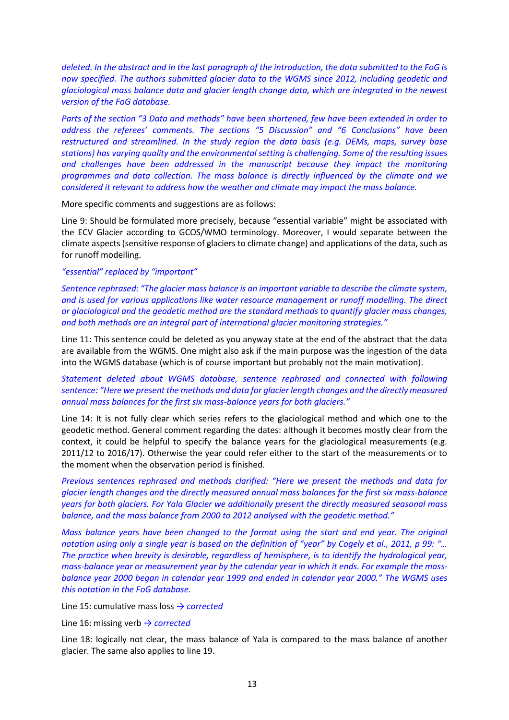*deleted. In the abstract and in the last paragraph of the introduction, the data submitted to the FoG is now specified. The authors submitted glacier data to the WGMS since 2012, including geodetic and glaciological mass balance data and glacier length change data, which are integrated in the newest version of the FoG database.*

*Parts of the section "3 Data and methods" have been shortened, few have been extended in order to address the referees' comments. The sections "5 Discussion" and "6 Conclusions" have been restructured and streamlined. In the study region the data basis (e.g. DEMs, maps, survey base stations) has varying quality and the environmental setting is challenging. Some of the resulting issues and challenges have been addressed in the manuscript because they impact the monitoring programmes and data collection. The mass balance is directly influenced by the climate and we considered it relevant to address how the weather and climate may impact the mass balance.* 

More specific comments and suggestions are as follows:

Line 9: Should be formulated more precisely, because "essential variable" might be associated with the ECV Glacier according to GCOS/WMO terminology. Moreover, I would separate between the climate aspects (sensitive response of glaciers to climate change) and applications of the data, such as for runoff modelling.

#### *"essential" replaced by "important"*

*Sentence rephrased: "The glacier mass balance is an important variable to describe the climate system, and is used for various applications like water resource management or runoff modelling. The direct or glaciological and the geodetic method are the standard methods to quantify glacier mass changes, and both methods are an integral part of international glacier monitoring strategies."*

Line 11: This sentence could be deleted as you anyway state at the end of the abstract that the data are available from the WGMS. One might also ask if the main purpose was the ingestion of the data into the WGMS database (which is of course important but probably not the main motivation).

*Statement deleted about WGMS database, sentence rephrased and connected with following sentence: "Here we present the methods and data for glacier length changes and the directly measured annual mass balances for the first six mass-balance years for both glaciers."*

Line 14: It is not fully clear which series refers to the glaciological method and which one to the geodetic method. General comment regarding the dates: although it becomes mostly clear from the context, it could be helpful to specify the balance years for the glaciological measurements (e.g. 2011/12 to 2016/17). Otherwise the year could refer either to the start of the measurements or to the moment when the observation period is finished.

*Previous sentences rephrased and methods clarified: "Here we present the methods and data for glacier length changes and the directly measured annual mass balances for the first six mass-balance years for both glaciers. For Yala Glacier we additionally present the directly measured seasonal mass balance, and the mass balance from 2000 to 2012 analysed with the geodetic method."*

*Mass balance years have been changed to the format using the start and end year. The original notation using only a single year is based on the definition of "year" by Cogely et al., 2011, p 99: "… The practice when brevity is desirable, regardless of hemisphere, is to identify the hydrological year, mass-balance year or measurement year by the calendar year in which it ends. For example the massbalance year 2000 began in calendar year 1999 and ended in calendar year 2000." The WGMS uses this notation in the FoG database.*

Line 15: cumulative mass loss *→ corrected*

Line 16: missing verb *→ corrected*

Line 18: logically not clear, the mass balance of Yala is compared to the mass balance of another glacier. The same also applies to line 19.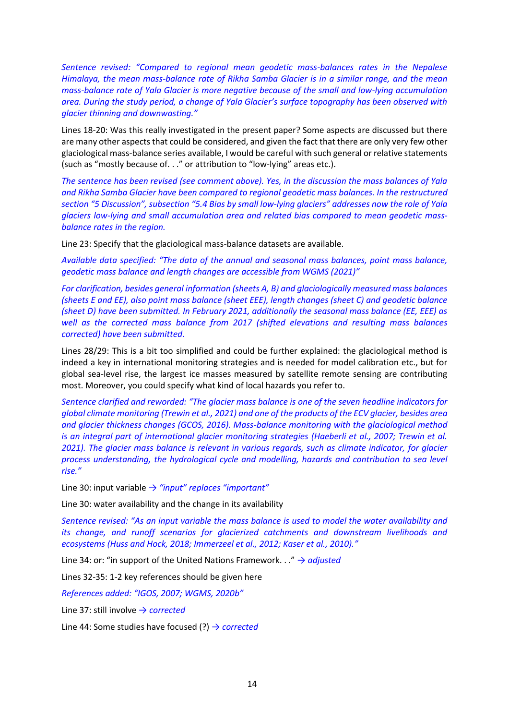*Sentence revised: "Compared to regional mean geodetic mass-balances rates in the Nepalese Himalaya, the mean mass-balance rate of Rikha Samba Glacier is in a similar range, and the mean mass-balance rate of Yala Glacier is more negative because of the small and low-lying accumulation area. During the study period, a change of Yala Glacier's surface topography has been observed with glacier thinning and downwasting."*

Lines 18-20: Was this really investigated in the present paper? Some aspects are discussed but there are many other aspects that could be considered, and given the fact that there are only very few other glaciological mass-balance series available, I would be careful with such general or relative statements (such as "mostly because of. . ." or attribution to "low-lying" areas etc.).

*The sentence has been revised (see comment above). Yes, in the discussion the mass balances of Yala and Rikha Samba Glacier have been compared to regional geodetic mass balances. In the restructured section "5 Discussion", subsection "5.4 Bias by small low-lying glaciers" addresses now the role of Yala glaciers low-lying and small accumulation area and related bias compared to mean geodetic massbalance rates in the region.*

Line 23: Specify that the glaciological mass-balance datasets are available.

*Available data specified: "The data of the annual and seasonal mass balances, point mass balance, geodetic mass balance and length changes are accessible from WGMS (2021)"*

*For clarification, besides general information (sheets A, B) and glaciologically measured mass balances (sheets E and EE), also point mass balance (sheet EEE), length changes (sheet C) and geodetic balance (sheet D) have been submitted. In February 2021, additionally the seasonal mass balance (EE, EEE) as well as the corrected mass balance from 2017 (shifted elevations and resulting mass balances corrected) have been submitted.*

Lines 28/29: This is a bit too simplified and could be further explained: the glaciological method is indeed a key in international monitoring strategies and is needed for model calibration etc., but for global sea-level rise, the largest ice masses measured by satellite remote sensing are contributing most. Moreover, you could specify what kind of local hazards you refer to.

*Sentence clarified and reworded: "The glacier mass balance is one of the seven headline indicators for global climate monitoring (Trewin et al., 2021) and one of the products of the ECV glacier, besides area and glacier thickness changes (GCOS, 2016). Mass-balance monitoring with the glaciological method is an integral part of international glacier monitoring strategies (Haeberli et al., 2007; Trewin et al. 2021). The glacier mass balance is relevant in various regards, such as climate indicator, for glacier process understanding, the hydrological cycle and modelling, hazards and contribution to sea level rise."*

Line 30: input variable *→ "input" replaces "important"*

Line 30: water availability and the change in its availability

*Sentence revised: "As an input variable the mass balance is used to model the water availability and its change, and runoff scenarios for glacierized catchments and downstream livelihoods and ecosystems (Huss and Hock, 2018; Immerzeel et al., 2012; Kaser et al., 2010)."*

Line 34: or: "in support of the United Nations Framework. . ." *→ adjusted*

Lines 32-35: 1-2 key references should be given here

*References added: "IGOS, 2007; WGMS, 2020b"*

Line 37: still involve *→ corrected*

Line 44: Some studies have focused (?) *→ corrected*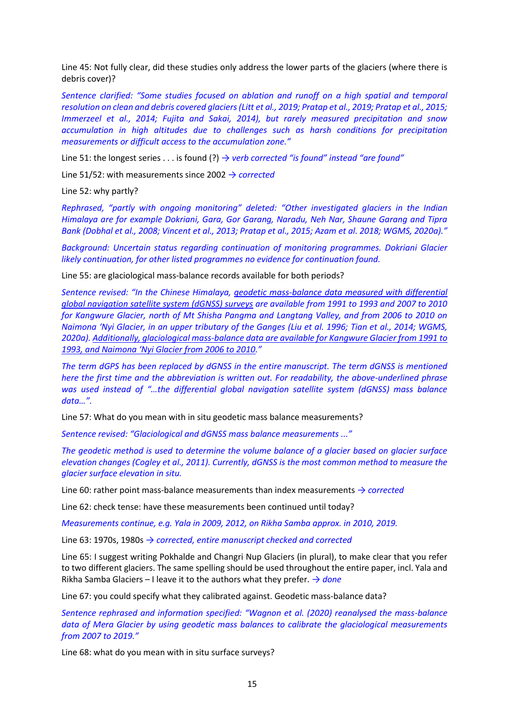Line 45: Not fully clear, did these studies only address the lower parts of the glaciers (where there is debris cover)?

*Sentence clarified: "Some studies focused on ablation and runoff on a high spatial and temporal resolution on clean and debris covered glaciers (Litt et al., 2019; Pratap et al., 2019; Pratap et al., 2015; Immerzeel et al., 2014; Fujita and Sakai, 2014), but rarely measured precipitation and snow accumulation in high altitudes due to challenges such as harsh conditions for precipitation measurements or difficult access to the accumulation zone."*

Line 51: the longest series . . . is found (?) *→ verb corrected "is found" instead "are found"*

Line 51/52: with measurements since 2002 *→ corrected*

Line 52: why partly?

*Rephrased, "partly with ongoing monitoring" deleted: "Other investigated glaciers in the Indian Himalaya are for example Dokriani, Gara, Gor Garang, Naradu, Neh Nar, Shaune Garang and Tipra Bank (Dobhal et al., 2008; Vincent et al., 2013; Pratap et al., 2015; Azam et al. 2018; WGMS, 2020a)."*

*Background: Uncertain status regarding continuation of monitoring programmes. Dokriani Glacier likely continuation, for other listed programmes no evidence for continuation found.*

Line 55: are glaciological mass-balance records available for both periods?

*Sentence revised: "In the Chinese Himalaya, geodetic mass-balance data measured with differential global navigation satellite system (dGNSS) surveys are available from 1991 to 1993 and 2007 to 2010 for Kangwure Glacier, north of Mt Shisha Pangma and Langtang Valley, and from 2006 to 2010 on Naimona 'Nyi Glacier, in an upper tributary of the Ganges (Liu et al. 1996; Tian et al., 2014; WGMS, 2020a). Additionally, glaciological mass-balance data are available for Kangwure Glacier from 1991 to 1993, and Naimona 'Nyi Glacier from 2006 to 2010."*

*The term dGPS has been replaced by dGNSS in the entire manuscript. The term dGNSS is mentioned here the first time and the abbreviation is written out. For readability, the above-underlined phrase was used instead of "…the differential global navigation satellite system (dGNSS) mass balance data…".*

Line 57: What do you mean with in situ geodetic mass balance measurements?

*Sentence revised: "Glaciological and dGNSS mass balance measurements ..."*

*The geodetic method is used to determine the volume balance of a glacier based on glacier surface elevation changes (Cogley et al., 2011). Currently, dGNSS is the most common method to measure the glacier surface elevation in situ.* 

Line 60: rather point mass-balance measurements than index measurements *→ corrected*

Line 62: check tense: have these measurements been continued until today?

*Measurements continue, e.g. Yala in 2009, 2012, on Rikha Samba approx. in 2010, 2019.*

Line 63: 1970s, 1980s *→ corrected, entire manuscript checked and corrected*

Line 65: I suggest writing Pokhalde and Changri Nup Glaciers (in plural), to make clear that you refer to two different glaciers. The same spelling should be used throughout the entire paper, incl. Yala and Rikha Samba Glaciers – I leave it to the authors what they prefer. *→ done*

Line 67: you could specify what they calibrated against. Geodetic mass-balance data?

*Sentence rephrased and information specified: "Wagnon et al. (2020) reanalysed the mass-balance data of Mera Glacier by using geodetic mass balances to calibrate the glaciological measurements from 2007 to 2019."*

Line 68: what do you mean with in situ surface surveys?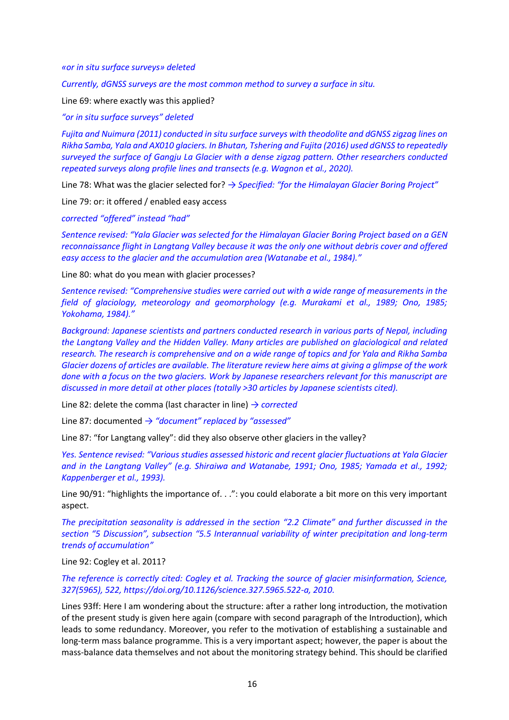*«or in situ surface surveys» deleted*

*Currently, dGNSS surveys are the most common method to survey a surface in situ.*

Line 69: where exactly was this applied?

*"or in situ surface surveys" deleted*

*Fujita and Nuimura (2011) conducted in situ surface surveys with theodolite and dGNSS zigzag lines on Rikha Samba, Yala and AX010 glaciers. In Bhutan, Tshering and Fujita (2016) used dGNSS to repeatedly surveyed the surface of Gangju La Glacier with a dense zigzag pattern. Other researchers conducted repeated surveys along profile lines and transects (e.g. Wagnon et al., 2020).*

Line 78: What was the glacier selected for? *→ Specified: "for the Himalayan Glacier Boring Project"*

Line 79: or: it offered / enabled easy access

*corrected "offered" instead "had"*

*Sentence revised: "Yala Glacier was selected for the Himalayan Glacier Boring Project based on a GEN reconnaissance flight in Langtang Valley because it was the only one without debris cover and offered easy access to the glacier and the accumulation area (Watanabe et al., 1984)."*

Line 80: what do you mean with glacier processes?

*Sentence revised: "Comprehensive studies were carried out with a wide range of measurements in the field of glaciology, meteorology and geomorphology (e.g. Murakami et al., 1989; Ono, 1985; Yokohama, 1984)."*

*Background: Japanese scientists and partners conducted research in various parts of Nepal, including the Langtang Valley and the Hidden Valley. Many articles are published on glaciological and related research. The research is comprehensive and on a wide range of topics and for Yala and Rikha Samba Glacier dozens of articles are available. The literature review here aims at giving a glimpse of the work done with a focus on the two glaciers. Work by Japanese researchers relevant for this manuscript are discussed in more detail at other places (totally >30 articles by Japanese scientists cited).* 

Line 82: delete the comma (last character in line) *→ corrected*

Line 87: documented *→ "document" replaced by "assessed"*

Line 87: "for Langtang valley": did they also observe other glaciers in the valley?

*Yes. Sentence revised: "Various studies assessed historic and recent glacier fluctuations at Yala Glacier and in the Langtang Valley" (e.g. Shiraiwa and Watanabe, 1991; Ono, 1985; Yamada et al., 1992; Kappenberger et al., 1993).*

Line 90/91: "highlights the importance of. . .": you could elaborate a bit more on this very important aspect.

*The precipitation seasonality is addressed in the section "2.2 Climate" and further discussed in the section "5 Discussion", subsection "5.5 Interannual variability of winter precipitation and long-term trends of accumulation"*

Line 92: Cogley et al. 2011?

*The reference is correctly cited: Cogley et al. Tracking the source of glacier misinformation, Science, 327(5965), 522, https://doi.org/10.1126/science.327.5965.522-a, 2010.*

Lines 93ff: Here I am wondering about the structure: after a rather long introduction, the motivation of the present study is given here again (compare with second paragraph of the Introduction), which leads to some redundancy. Moreover, you refer to the motivation of establishing a sustainable and long-term mass balance programme. This is a very important aspect; however, the paper is about the mass-balance data themselves and not about the monitoring strategy behind. This should be clarified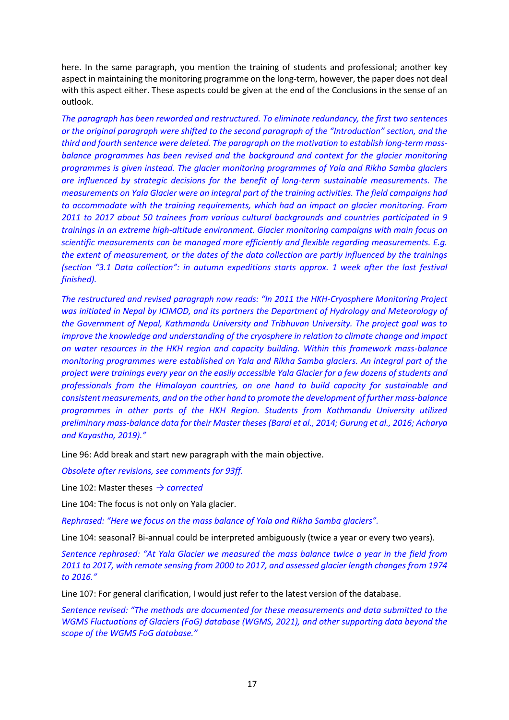here. In the same paragraph, you mention the training of students and professional; another key aspect in maintaining the monitoring programme on the long-term, however, the paper does not deal with this aspect either. These aspects could be given at the end of the Conclusions in the sense of an outlook.

*The paragraph has been reworded and restructured. To eliminate redundancy, the first two sentences or the original paragraph were shifted to the second paragraph of the "Introduction" section, and the third and fourth sentence were deleted. The paragraph on the motivation to establish long-term massbalance programmes has been revised and the background and context for the glacier monitoring programmes is given instead. The glacier monitoring programmes of Yala and Rikha Samba glaciers are influenced by strategic decisions for the benefit of long-term sustainable measurements. The measurements on Yala Glacier were an integral part of the training activities. The field campaigns had to accommodate with the training requirements, which had an impact on glacier monitoring. From 2011 to 2017 about 50 trainees from various cultural backgrounds and countries participated in 9 trainings in an extreme high-altitude environment. Glacier monitoring campaigns with main focus on scientific measurements can be managed more efficiently and flexible regarding measurements. E.g. the extent of measurement, or the dates of the data collection are partly influenced by the trainings (section "3.1 Data collection": in autumn expeditions starts approx. 1 week after the last festival finished).*

*The restructured and revised paragraph now reads: "In 2011 the HKH-Cryosphere Monitoring Project was initiated in Nepal by ICIMOD, and its partners the Department of Hydrology and Meteorology of the Government of Nepal, Kathmandu University and Tribhuvan University. The project goal was to improve the knowledge and understanding of the cryosphere in relation to climate change and impact on water resources in the HKH region and capacity building. Within this framework mass-balance monitoring programmes were established on Yala and Rikha Samba glaciers. An integral part of the project were trainings every year on the easily accessible Yala Glacier for a few dozens of students and professionals from the Himalayan countries, on one hand to build capacity for sustainable and consistent measurements, and on the other hand to promote the development of further mass-balance programmes in other parts of the HKH Region. Students from Kathmandu University utilized preliminary mass-balance data for their Master theses (Baral et al., 2014; Gurung et al., 2016; Acharya and Kayastha, 2019)."*

Line 96: Add break and start new paragraph with the main objective.

*Obsolete after revisions, see comments for 93ff.*

Line 102: Master theses *→ corrected*

Line 104: The focus is not only on Yala glacier.

*Rephrased: "Here we focus on the mass balance of Yala and Rikha Samba glaciers".*

Line 104: seasonal? Bi-annual could be interpreted ambiguously (twice a year or every two years).

*Sentence rephrased: "At Yala Glacier we measured the mass balance twice a year in the field from 2011 to 2017, with remote sensing from 2000 to 2017, and assessed glacier length changes from 1974 to 2016."*

Line 107: For general clarification, I would just refer to the latest version of the database.

*Sentence revised: "The methods are documented for these measurements and data submitted to the WGMS Fluctuations of Glaciers (FoG) database (WGMS, 2021), and other supporting data beyond the scope of the WGMS FoG database."*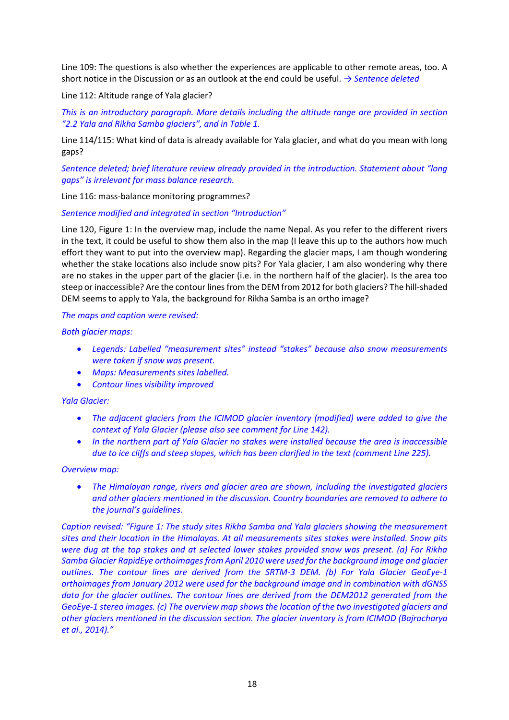Line 109: The questions is also whether the experiences are applicable to other remote areas, too. A short notice in the Discussion or as an outlook at the end could be useful. *→ Sentence deleted*

Line 112: Altitude range of Yala glacier?

*This is an introductory paragraph. More details including the altitude range are provided in section "2.2 Yala and Rikha Samba glaciers", and in Table 1.*

Line 114/115: What kind of data is already available for Yala glacier, and what do you mean with long gaps?

*Sentence deleted; brief literature review already provided in the introduction. Statement about "long gaps" is irrelevant for mass balance research.*

Line 116: mass-balance monitoring programmes?

*Sentence modified and integrated in section "Introduction"*

Line 120, Figure 1: In the overview map, include the name Nepal. As you refer to the different rivers in the text, it could be useful to show them also in the map (I leave this up to the authors how much effort they want to put into the overview map). Regarding the glacier maps, I am though wondering whether the stake locations also include snow pits? For Yala glacier, I am also wondering why there are no stakes in the upper part of the glacier (i.e. in the northern half of the glacier). Is the area too steep or inaccessible? Are the contour lines from the DEM from 2012 for both glaciers? The hill-shaded DEM seems to apply to Yala, the background for Rikha Samba is an ortho image?

### *The maps and caption were revised:*

*Both glacier maps:* 

- *Legends: Labelled "measurement sites" instead "stakes" because also snow measurements were taken if snow was present.*
- *Maps: Measurements sites labelled.*
- *Contour lines visibility improved*

# *Yala Glacier:*

- *The adjacent glaciers from the ICIMOD glacier inventory (modified) were added to give the context of Yala Glacier (please also see comment for Line 142).*
- *In the northern part of Yala Glacier no stakes were installed because the area is inaccessible due to ice cliffs and steep slopes, which has been clarified in the text (comment Line 225).*

#### *Overview map:*

• *The Himalayan range, rivers and glacier area are shown, including the investigated glaciers and other glaciers mentioned in the discussion. Country boundaries are removed to adhere to the journal's guidelines.*

*Caption revised: "Figure 1: The study sites Rikha Samba and Yala glaciers showing the measurement sites and their location in the Himalayas. At all measurements sites stakes were installed. Snow pits were dug at the top stakes and at selected lower stakes provided snow was present. (a) For Rikha Samba Glacier RapidEye orthoimages from April 2010 were used for the background image and glacier outlines. The contour lines are derived from the SRTM-3 DEM. (b) For Yala Glacier GeoEye-1 orthoimages from January 2012 were used for the background image and in combination with dGNSS*  data for the glacier outlines. The contour lines are derived from the DEM2012 generated from the *GeoEye-1 stereo images. (c) The overview map shows the location of the two investigated glaciers and other glaciers mentioned in the discussion section. The glacier inventory is from ICIMOD (Bajracharya et al., 2014)."*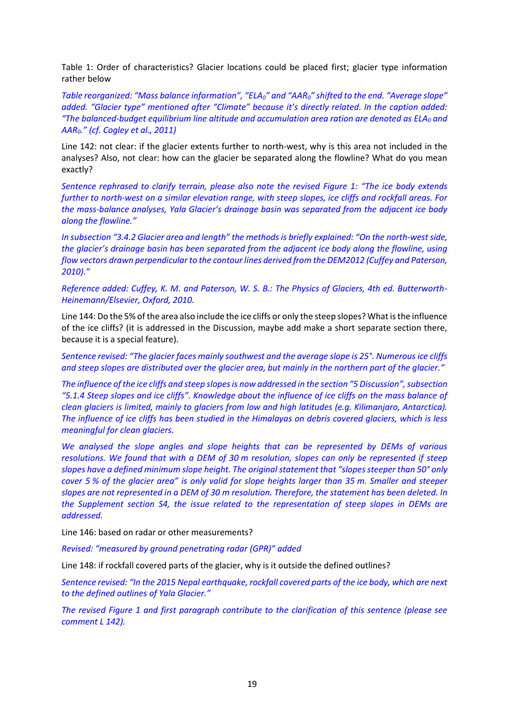Table 1: Order of characteristics? Glacier locations could be placed first; glacier type information rather below

*Table reorganized: "Mass balance information", "ELA0" and "AAR0" shifted to the end. "Average slope" added. "Glacier type" mentioned after "Climate" because it's directly related. In the caption added: "The balanced-budget equilibrium line altitude and accumulation area ration are denoted as ELA<sup>0</sup> and AAR0." (cf. Cogley et al., 2011)* 

Line 142: not clear: if the glacier extents further to north-west, why is this area not included in the analyses? Also, not clear: how can the glacier be separated along the flowline? What do you mean exactly?

*Sentence rephrased to clarify terrain, please also note the revised Figure 1: "The ice body extends further to north-west on a similar elevation range, with steep slopes, ice cliffs and rockfall areas. For the mass-balance analyses, Yala Glacier's drainage basin was separated from the adjacent ice body along the flowline."*

*In subsection "3.4.2 Glacier area and length" the methods is briefly explained: "On the north-west side, the glacier's drainage basin has been separated from the adjacent ice body along the flowline, using flow vectors drawn perpendicular to the contour lines derived from the DEM2012 (Cuffey and Paterson, 2010)."*

*Reference added: Cuffey, K. M. and Paterson, W. S. B.: The Physics of Glaciers, 4th ed. Butterworth-Heinemann/Elsevier, Oxford, 2010.*

Line 144: Do the 5% of the area also include the ice cliffs or only the steep slopes? What is the influence of the ice cliffs? (it is addressed in the Discussion, maybe add make a short separate section there, because it is a special feature).

*Sentence revised: "The glacier faces mainly southwest and the average slope is 25°. Numerous ice cliffs and steep slopes are distributed over the glacier area, but mainly in the northern part of the glacier."*

*The influence of the ice cliffs and steep slopes is now addressed in the section "5 Discussion",subsection "5.1.4 Steep slopes and ice cliffs". Knowledge about the influence of ice cliffs on the mass balance of clean glaciers is limited, mainly to glaciers from low and high latitudes (e.g. Kilimanjaro, Antarctica). The influence of ice cliffs has been studied in the Himalayas on debris covered glaciers, which is less meaningful for clean glaciers.*

*We analysed the slope angles and slope heights that can be represented by DEMs of various resolutions. We found that with a DEM of 30 m resolution, slopes can only be represented if steep slopes have a defined minimum slope height. The original statement that "slopes steeper than 50° only cover 5 % of the glacier area" is only valid for slope heights larger than 35 m. Smaller and steeper slopes are not represented in a DEM of 30 m resolution. Therefore, the statement has been deleted. In the Supplement section S4, the issue related to the representation of steep slopes in DEMs are addressed.*

Line 146: based on radar or other measurements?

*Revised: "measured by ground penetrating radar (GPR)" added* 

Line 148: if rockfall covered parts of the glacier, why is it outside the defined outlines?

*Sentence revised: "In the 2015 Nepal earthquake, rockfall covered parts of the ice body, which are next to the defined outlines of Yala Glacier."*

*The revised Figure 1 and first paragraph contribute to the clarification of this sentence (please see comment L 142).*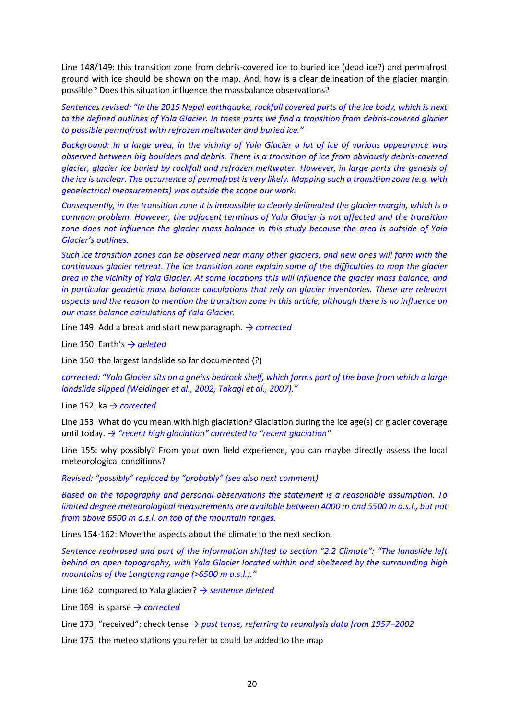Line 148/149: this transition zone from debris-covered ice to buried ice (dead ice?) and permafrost ground with ice should be shown on the map. And, how is a clear delineation of the glacier margin possible? Does this situation influence the massbalance observations?

*Sentences revised: "In the 2015 Nepal earthquake, rockfall covered parts of the ice body, which is next to the defined outlines of Yala Glacier. In these parts we find a transition from debris-covered glacier to possible permafrost with refrozen meltwater and buried ice."*

*Background: In a large area, in the vicinity of Yala Glacier a lot of ice of various appearance was observed between big boulders and debris. There is a transition of ice from obviously debris-covered glacier, glacier ice buried by rockfall and refrozen meltwater. However, in large parts the genesis of the ice is unclear. The occurrence of permafrost is very likely. Mapping such a transition zone (e.g. with geoelectrical measurements) was outside the scope our work.* 

*Consequently, in the transition zone it is impossible to clearly delineated the glacier margin, which is a common problem. However, the adjacent terminus of Yala Glacier is not affected and the transition zone does not influence the glacier mass balance in this study because the area is outside of Yala Glacier's outlines.*

*Such ice transition zones can be observed near many other glaciers, and new ones will form with the continuous glacier retreat. The ice transition zone explain some of the difficulties to map the glacier area in the vicinity of Yala Glacier. At some locations this will influence the glacier mass balance, and in particular geodetic mass balance calculations that rely on glacier inventories. These are relevant aspects and the reason to mention the transition zone in this article, although there is no influence on our mass balance calculations of Yala Glacier.* 

Line 149: Add a break and start new paragraph. *→ corrected*

Line 150: Earth's *→ deleted*

Line 150: the largest landslide so far documented (?)

*corrected: "Yala Glacier sits on a gneiss bedrock shelf, which forms part of the base from which a large landslide slipped (Weidinger et al., 2002, Takagi et al., 2007)."*

Line 152: ka *→ corrected*

Line 153: What do you mean with high glaciation? Glaciation during the ice age(s) or glacier coverage until today. *→ "recent high glaciation" corrected to "recent glaciation"*

Line 155: why possibly? From your own field experience, you can maybe directly assess the local meteorological conditions?

*Revised: "possibly" replaced by "probably" (see also next comment)*

*Based on the topography and personal observations the statement is a reasonable assumption. To limited degree meteorological measurements are available between 4000 m and 5500 m a.s.l., but not from above 6500 m a.s.l. on top of the mountain ranges.*

Lines 154-162: Move the aspects about the climate to the next section.

*Sentence rephrased and part of the information shifted to section "2.2 Climate": "The landslide left behind an open topography, with Yala Glacier located within and sheltered by the surrounding high mountains of the Langtang range (>6500 m a.s.l.)."*

Line 162: compared to Yala glacier? *→ sentence deleted*

Line 169: is sparse *→ corrected*

Line 173: "received": check tense *→ past tense, referring to reanalysis data from 1957–2002*

Line 175: the meteo stations you refer to could be added to the map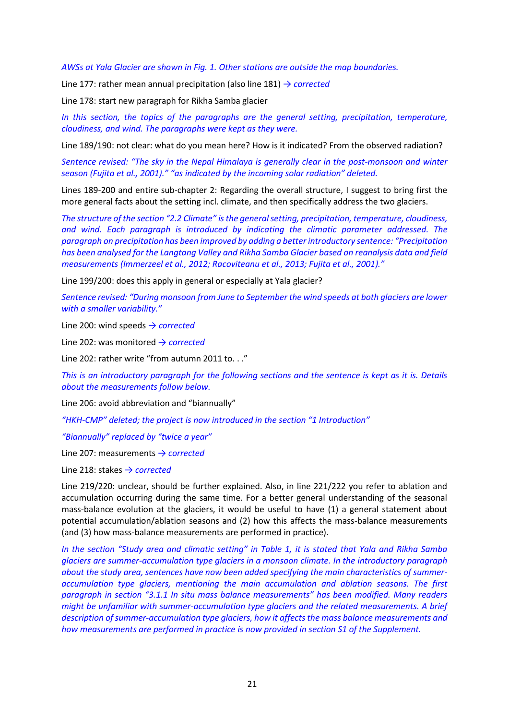*AWSs at Yala Glacier are shown in Fig. 1. Other stations are outside the map boundaries.* 

Line 177: rather mean annual precipitation (also line 181) *→ corrected*

Line 178: start new paragraph for Rikha Samba glacier

In this section, the topics of the paragraphs are the general setting, precipitation, temperature, *cloudiness, and wind. The paragraphs were kept as they were.*

Line 189/190: not clear: what do you mean here? How is it indicated? From the observed radiation?

*Sentence revised: "The sky in the Nepal Himalaya is generally clear in the post-monsoon and winter season (Fujita et al., 2001)." "as indicated by the incoming solar radiation" deleted.*

Lines 189-200 and entire sub-chapter 2: Regarding the overall structure, I suggest to bring first the more general facts about the setting incl. climate, and then specifically address the two glaciers.

*The structure of the section "2.2 Climate" is the general setting, precipitation, temperature, cloudiness, and wind. Each paragraph is introduced by indicating the climatic parameter addressed. The paragraph on precipitation has been improved by adding a better introductory sentence: "Precipitation has been analysed for the Langtang Valley and Rikha Samba Glacier based on reanalysis data and field measurements (Immerzeel et al., 2012; Racoviteanu et al., 2013; Fujita et al., 2001)."*

Line 199/200: does this apply in general or especially at Yala glacier?

*Sentence revised: "During monsoon from June to September the wind speeds at both glaciers are lower with a smaller variability."*

Line 200: wind speeds *→ corrected*

Line 202: was monitored *→ corrected*

Line 202: rather write "from autumn 2011 to. . ."

*This is an introductory paragraph for the following sections and the sentence is kept as it is. Details about the measurements follow below.*

Line 206: avoid abbreviation and "biannually"

*"HKH-CMP" deleted; the project is now introduced in the section "1 Introduction"*

*"Biannually" replaced by "twice a year"*

Line 207: measurements *→ corrected*

Line 218: stakes *→ corrected*

Line 219/220: unclear, should be further explained. Also, in line 221/222 you refer to ablation and accumulation occurring during the same time. For a better general understanding of the seasonal mass-balance evolution at the glaciers, it would be useful to have (1) a general statement about potential accumulation/ablation seasons and (2) how this affects the mass-balance measurements (and (3) how mass-balance measurements are performed in practice).

*In the section "Study area and climatic setting" in Table 1, it is stated that Yala and Rikha Samba glaciers are summer-accumulation type glaciers in a monsoon climate. In the introductory paragraph about the study area, sentences have now been added specifying the main characteristics of summeraccumulation type glaciers, mentioning the main accumulation and ablation seasons. The first paragraph in section "3.1.1 In situ mass balance measurements" has been modified. Many readers might be unfamiliar with summer-accumulation type glaciers and the related measurements. A brief description of summer-accumulation type glaciers, how it affects the mass balance measurements and how measurements are performed in practice is now provided in section S1 of the Supplement.*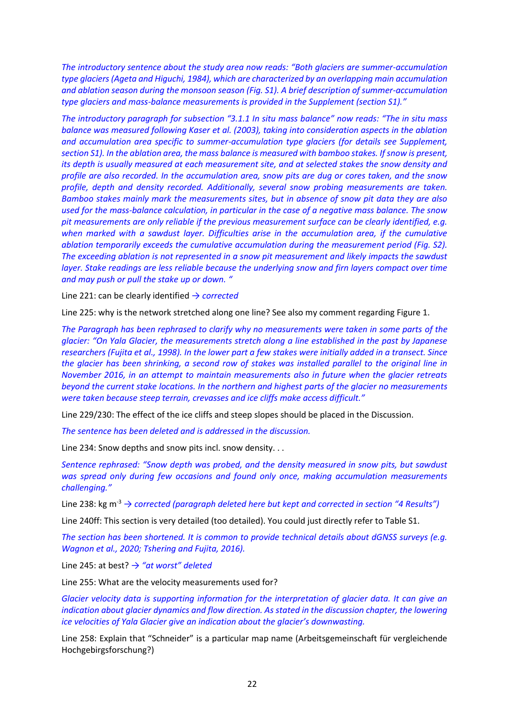*The introductory sentence about the study area now reads: "Both glaciers are summer-accumulation type glaciers (Ageta and Higuchi, 1984), which are characterized by an overlapping main accumulation and ablation season during the monsoon season (Fig. S1). A brief description of summer-accumulation type glaciers and mass-balance measurements is provided in the Supplement (section S1)."*

*The introductory paragraph for subsection "3.1.1 In situ mass balance" now reads: "The in situ mass balance was measured following Kaser et al. (2003), taking into consideration aspects in the ablation and accumulation area specific to summer-accumulation type glaciers (for details see Supplement, section S1). In the ablation area, the mass balance is measured with bamboo stakes. If snow is present, its depth is usually measured at each measurement site, and at selected stakes the snow density and profile are also recorded. In the accumulation area, snow pits are dug or cores taken, and the snow profile, depth and density recorded. Additionally, several snow probing measurements are taken. Bamboo stakes mainly mark the measurements sites, but in absence of snow pit data they are also used for the mass-balance calculation, in particular in the case of a negative mass balance. The snow pit measurements are only reliable if the previous measurement surface can be clearly identified, e.g. when marked with a sawdust layer. Difficulties arise in the accumulation area, if the cumulative ablation temporarily exceeds the cumulative accumulation during the measurement period (Fig. S2). The exceeding ablation is not represented in a snow pit measurement and likely impacts the sawdust layer. Stake readings are less reliable because the underlying snow and firn layers compact over time and may push or pull the stake up or down. "*

Line 221: can be clearly identified *→ corrected*

Line 225: why is the network stretched along one line? See also my comment regarding Figure 1.

*The Paragraph has been rephrased to clarify why no measurements were taken in some parts of the glacier: "On Yala Glacier, the measurements stretch along a line established in the past by Japanese researchers (Fujita et al., 1998). In the lower part a few stakes were initially added in a transect. Since the glacier has been shrinking, a second row of stakes was installed parallel to the original line in November 2016, in an attempt to maintain measurements also in future when the glacier retreats beyond the current stake locations. In the northern and highest parts of the glacier no measurements were taken because steep terrain, crevasses and ice cliffs make access difficult."*

Line 229/230: The effect of the ice cliffs and steep slopes should be placed in the Discussion.

*The sentence has been deleted and is addressed in the discussion.*

Line 234: Snow depths and snow pits incl. snow density. . .

*Sentence rephrased: "Snow depth was probed, and the density measured in snow pits, but sawdust was spread only during few occasions and found only once, making accumulation measurements challenging."*

Line 238: kg m-3 *→ corrected (paragraph deleted here but kept and corrected in section "4 Results")*

Line 240ff: This section is very detailed (too detailed). You could just directly refer to Table S1.

*The section has been shortened. It is common to provide technical details about dGNSS surveys (e.g. Wagnon et al., 2020; Tshering and Fujita, 2016).*

Line 245: at best? *→ "at worst" deleted*

Line 255: What are the velocity measurements used for?

*Glacier velocity data is supporting information for the interpretation of glacier data. It can give an indication about glacier dynamics and flow direction. As stated in the discussion chapter, the lowering ice velocities of Yala Glacier give an indication about the glacier's downwasting.* 

Line 258: Explain that "Schneider" is a particular map name (Arbeitsgemeinschaft für vergleichende Hochgebirgsforschung?)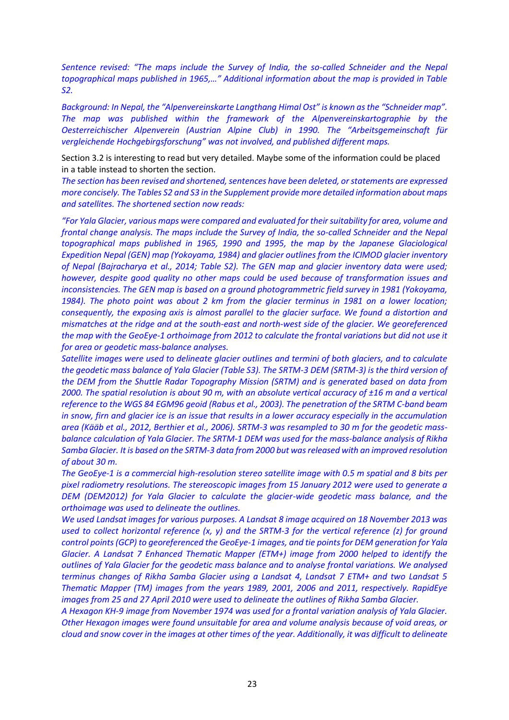*Sentence revised: "The maps include the Survey of India, the so-called Schneider and the Nepal topographical maps published in 1965,…" Additional information about the map is provided in Table S2.*

*Background: In Nepal, the "Alpenvereinskarte Langthang Himal Ost" is known as the "Schneider map". The map was published within the framework of the Alpenvereinskartographie by the Oesterreichischer Alpenverein (Austrian Alpine Club) in 1990. The "Arbeitsgemeinschaft für vergleichende Hochgebirgsforschung" was not involved, and published different maps.*

Section 3.2 is interesting to read but very detailed. Maybe some of the information could be placed in a table instead to shorten the section.

*The section has been revised and shortened, sentences have been deleted, or statements are expressed more concisely. The Tables S2 and S3 in the Supplement provide more detailed information about maps and satellites. The shortened section now reads:* 

*"For Yala Glacier, various maps were compared and evaluated for their suitability for area, volume and frontal change analysis. The maps include the Survey of India, the so-called Schneider and the Nepal topographical maps published in 1965, 1990 and 1995, the map by the Japanese Glaciological Expedition Nepal (GEN) map (Yokoyama, 1984) and glacier outlines from the ICIMOD glacier inventory of Nepal (Bajracharya et al., 2014; Table S2). The GEN map and glacier inventory data were used; however, despite good quality no other maps could be used because of transformation issues and inconsistencies. The GEN map is based on a ground photogrammetric field survey in 1981 (Yokoyama, 1984). The photo point was about 2 km from the glacier terminus in 1981 on a lower location; consequently, the exposing axis is almost parallel to the glacier surface. We found a distortion and mismatches at the ridge and at the south-east and north-west side of the glacier. We georeferenced the map with the GeoEye-1 orthoimage from 2012 to calculate the frontal variations but did not use it for area or geodetic mass-balance analyses.*

*Satellite images were used to delineate glacier outlines and termini of both glaciers, and to calculate the geodetic mass balance of Yala Glacier (Table S3). The SRTM-3 DEM (SRTM-3) is the third version of the DEM from the Shuttle Radar Topography Mission (SRTM) and is generated based on data from 2000. The spatial resolution is about 90 m, with an absolute vertical accuracy of ±16 m and a vertical reference to the WGS 84 EGM96 geoid (Rabus et al., 2003). The penetration of the SRTM C-band beam in snow, firn and glacier ice is an issue that results in a lower accuracy especially in the accumulation area (Kääb et al., 2012, Berthier et al., 2006). SRTM-3 was resampled to 30 m for the geodetic massbalance calculation of Yala Glacier. The SRTM-1 DEM was used for the mass-balance analysis of Rikha Samba Glacier. It is based on the SRTM-3 data from 2000 but was released with an improved resolution of about 30 m.* 

*The GeoEye-1 is a commercial high-resolution stereo satellite image with 0.5 m spatial and 8 bits per pixel radiometry resolutions. The stereoscopic images from 15 January 2012 were used to generate a DEM (DEM2012) for Yala Glacier to calculate the glacier-wide geodetic mass balance, and the orthoimage was used to delineate the outlines.*

*We used Landsat images for various purposes. A Landsat 8 image acquired on 18 November 2013 was used to collect horizontal reference (x, y) and the SRTM-3 for the vertical reference (z) for ground control points (GCP) to georeferenced the GeoEye-1 images, and tie points for DEM generation for Yala Glacier. A Landsat 7 Enhanced Thematic Mapper (ETM+) image from 2000 helped to identify the outlines of Yala Glacier for the geodetic mass balance and to analyse frontal variations. We analysed terminus changes of Rikha Samba Glacier using a Landsat 4, Landsat 7 ETM+ and two Landsat 5 Thematic Mapper (TM) images from the years 1989, 2001, 2006 and 2011, respectively. RapidEye images from 25 and 27 April 2010 were used to delineate the outlines of Rikha Samba Glacier.*

*A Hexagon KH-9 image from November 1974 was used for a frontal variation analysis of Yala Glacier. Other Hexagon images were found unsuitable for area and volume analysis because of void areas, or cloud and snow cover in the images at other times of the year. Additionally, it was difficult to delineate*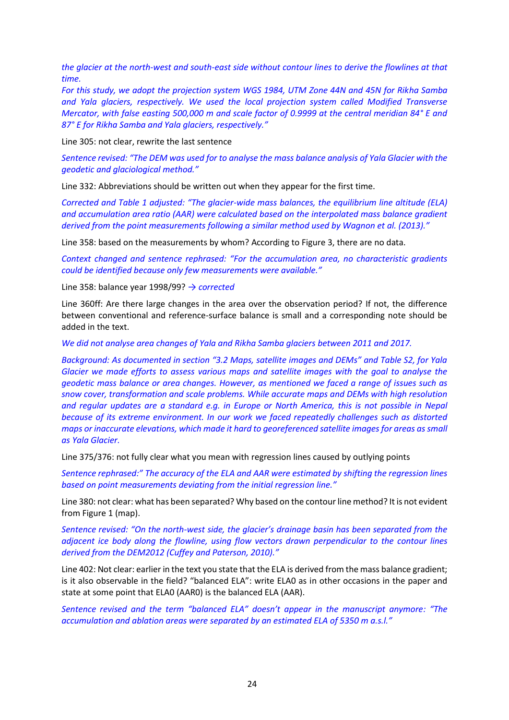*the glacier at the north-west and south-east side without contour lines to derive the flowlines at that time.*

*For this study, we adopt the projection system WGS 1984, UTM Zone 44N and 45N for Rikha Samba and Yala glaciers, respectively. We used the local projection system called Modified Transverse Mercator, with false easting 500,000 m and scale factor of 0.9999 at the central meridian 84° E and 87° E for Rikha Samba and Yala glaciers, respectively."*

Line 305: not clear, rewrite the last sentence

*Sentence revised: "The DEM was used for to analyse the mass balance analysis of Yala Glacier with the geodetic and glaciological method."*

Line 332: Abbreviations should be written out when they appear for the first time.

*Corrected and Table 1 adjusted: "The glacier-wide mass balances, the equilibrium line altitude (ELA) and accumulation area ratio (AAR) were calculated based on the interpolated mass balance gradient derived from the point measurements following a similar method used by Wagnon et al. (2013)."* 

Line 358: based on the measurements by whom? According to Figure 3, there are no data.

*Context changed and sentence rephrased: "For the accumulation area, no characteristic gradients could be identified because only few measurements were available."*

Line 358: balance year 1998/99? *→ corrected* 

Line 360ff: Are there large changes in the area over the observation period? If not, the difference between conventional and reference-surface balance is small and a corresponding note should be added in the text.

*We did not analyse area changes of Yala and Rikha Samba glaciers between 2011 and 2017.* 

*Background: As documented in section "3.2 Maps, satellite images and DEMs" and Table S2, for Yala Glacier we made efforts to assess various maps and satellite images with the goal to analyse the geodetic mass balance or area changes. However, as mentioned we faced a range of issues such as snow cover, transformation and scale problems. While accurate maps and DEMs with high resolution and regular updates are a standard e.g. in Europe or North America, this is not possible in Nepal because of its extreme environment. In our work we faced repeatedly challenges such as distorted maps or inaccurate elevations, which made it hard to georeferenced satellite images for areas as small as Yala Glacier.*

Line 375/376: not fully clear what you mean with regression lines caused by outlying points

*Sentence rephrased:" The accuracy of the ELA and AAR were estimated by shifting the regression lines based on point measurements deviating from the initial regression line."*

Line 380: not clear: what has been separated? Why based on the contour line method? It is not evident from Figure 1 (map).

*Sentence revised: "On the north-west side, the glacier's drainage basin has been separated from the adjacent ice body along the flowline, using flow vectors drawn perpendicular to the contour lines derived from the DEM2012 (Cuffey and Paterson, 2010)."* 

Line 402: Not clear: earlier in the text you state that the ELA is derived from the mass balance gradient; is it also observable in the field? "balanced ELA": write ELA0 as in other occasions in the paper and state at some point that ELA0 (AAR0) is the balanced ELA (AAR).

*Sentence revised and the term "balanced ELA" doesn't appear in the manuscript anymore: "The accumulation and ablation areas were separated by an estimated ELA of 5350 m a.s.l."*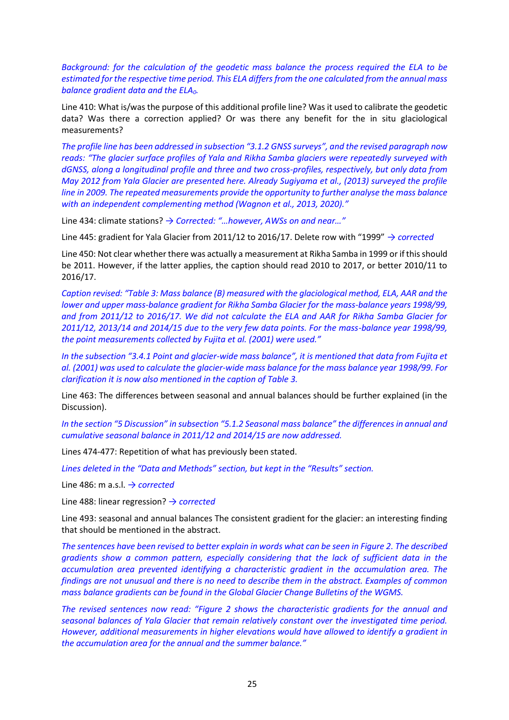*Background: for the calculation of the geodetic mass balance the process required the ELA to be estimated for the respective time period. This ELA differs from the one calculated from the annual mass balance gradient data and the ELA0.*

Line 410: What is/was the purpose of this additional profile line? Was it used to calibrate the geodetic data? Was there a correction applied? Or was there any benefit for the in situ glaciological measurements?

*The profile line has been addressed in subsection "3.1.2 GNSS surveys", and the revised paragraph now reads: "The glacier surface profiles of Yala and Rikha Samba glaciers were repeatedly surveyed with dGNSS, along a longitudinal profile and three and two cross-profiles, respectively, but only data from May 2012 from Yala Glacier are presented here. Already Sugiyama et al., (2013) surveyed the profile line in 2009. The repeated measurements provide the opportunity to further analyse the mass balance with an independent complementing method (Wagnon et al., 2013, 2020)."*

Line 434: climate stations? *→ Corrected: "…however, AWSs on and near…"*

Line 445: gradient for Yala Glacier from 2011/12 to 2016/17. Delete row with "1999" *→ corrected*

Line 450: Not clear whether there was actually a measurement at Rikha Samba in 1999 or if this should be 2011. However, if the latter applies, the caption should read 2010 to 2017, or better 2010/11 to 2016/17.

*Caption revised: "Table 3: Mass balance (B) measured with the glaciological method, ELA, AAR and the lower and upper mass-balance gradient for Rikha Samba Glacier for the mass-balance years 1998/99, and from 2011/12 to 2016/17. We did not calculate the ELA and AAR for Rikha Samba Glacier for 2011/12, 2013/14 and 2014/15 due to the very few data points. For the mass-balance year 1998/99, the point measurements collected by Fujita et al. (2001) were used."*

*In the subsection "3.4.1 Point and glacier-wide mass balance", it is mentioned that data from Fujita et al. (2001) was used to calculate the glacier-wide mass balance for the mass balance year 1998/99. For clarification it is now also mentioned in the caption of Table 3.*

Line 463: The differences between seasonal and annual balances should be further explained (in the Discussion).

*In the section "5 Discussion" in subsection "5.1.2 Seasonal mass balance" the differences in annual and cumulative seasonal balance in 2011/12 and 2014/15 are now addressed.*

Lines 474-477: Repetition of what has previously been stated.

*Lines deleted in the "Data and Methods" section, but kept in the "Results" section.* 

Line 486: m a.s.l. *→ corrected*

Line 488: linear regression? *→ corrected* 

Line 493: seasonal and annual balances The consistent gradient for the glacier: an interesting finding that should be mentioned in the abstract.

*The sentences have been revised to better explain in words what can be seen in Figure 2. The described gradients show a common pattern, especially considering that the lack of sufficient data in the accumulation area prevented identifying a characteristic gradient in the accumulation area. The findings are not unusual and there is no need to describe them in the abstract. Examples of common mass balance gradients can be found in the Global Glacier Change Bulletins of the WGMS.*

*The revised sentences now read: "Figure 2 shows the characteristic gradients for the annual and seasonal balances of Yala Glacier that remain relatively constant over the investigated time period. However, additional measurements in higher elevations would have allowed to identify a gradient in the accumulation area for the annual and the summer balance."*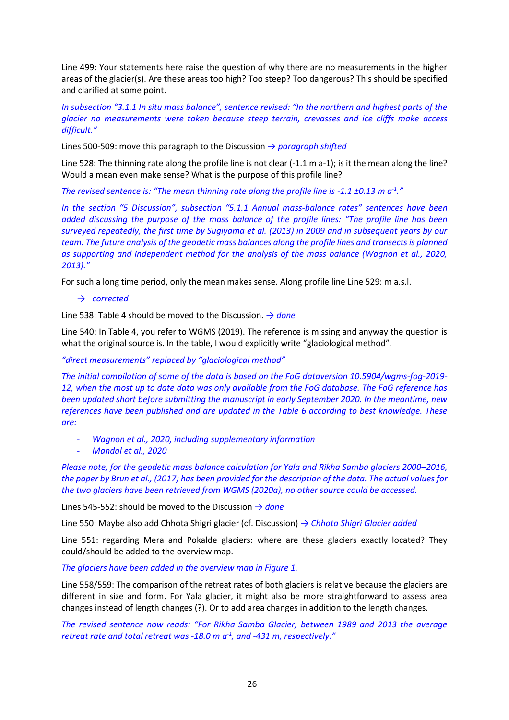Line 499: Your statements here raise the question of why there are no measurements in the higher areas of the glacier(s). Are these areas too high? Too steep? Too dangerous? This should be specified and clarified at some point.

*In subsection "3.1.1 In situ mass balance", sentence revised: "In the northern and highest parts of the glacier no measurements were taken because steep terrain, crevasses and ice cliffs make access difficult."*

Lines 500-509: move this paragraph to the Discussion *→ paragraph shifted*

Line 528: The thinning rate along the profile line is not clear (-1.1 m a-1); is it the mean along the line? Would a mean even make sense? What is the purpose of this profile line?

*The revised sentence is: "The mean thinning rate along the profile line is -1.1 ±0.13 m a-1 ."*

*In the section "5 Discussion", subsection "5.1.1 Annual mass-balance rates" sentences have been added discussing the purpose of the mass balance of the profile lines: "The profile line has been surveyed repeatedly, the first time by Sugiyama et al. (2013) in 2009 and in subsequent years by our team. The future analysis of the geodetic mass balances along the profile lines and transects is planned as supporting and independent method for the analysis of the mass balance (Wagnon et al., 2020, 2013)."*

For such a long time period, only the mean makes sense. Along profile line Line 529: m a.s.l.

### → *corrected*

Line 538: Table 4 should be moved to the Discussion. *→ done*

Line 540: In Table 4, you refer to WGMS (2019). The reference is missing and anyway the question is what the original source is. In the table, I would explicitly write "glaciological method".

### *"direct measurements" replaced by "glaciological method"*

*The initial compilation of some of the data is based on the FoG dataversion 10.5904/wgms-fog-2019- 12, when the most up to date data was only available from the FoG database. The FoG reference has been updated short before submitting the manuscript in early September 2020. In the meantime, new references have been published and are updated in the Table 6 according to best knowledge. These are:*

- *Wagnon et al., 2020, including supplementary information*
- *Mandal et al., 2020*

*Please note, for the geodetic mass balance calculation for Yala and Rikha Samba glaciers 2000–2016, the paper by Brun et al., (2017) has been provided for the description of the data. The actual values for the two glaciers have been retrieved from WGMS (2020a), no other source could be accessed.*

Lines 545-552: should be moved to the Discussion *→ done*

Line 550: Maybe also add Chhota Shigri glacier (cf. Discussion) *→ Chhota Shigri Glacier added*

Line 551: regarding Mera and Pokalde glaciers: where are these glaciers exactly located? They could/should be added to the overview map.

#### *The glaciers have been added in the overview map in Figure 1.*

Line 558/559: The comparison of the retreat rates of both glaciers is relative because the glaciers are different in size and form. For Yala glacier, it might also be more straightforward to assess area changes instead of length changes (?). Or to add area changes in addition to the length changes.

*The revised sentence now reads: "For Rikha Samba Glacier, between 1989 and 2013 the average retreat rate and total retreat was -18.0 m a-1 , and -431 m, respectively."*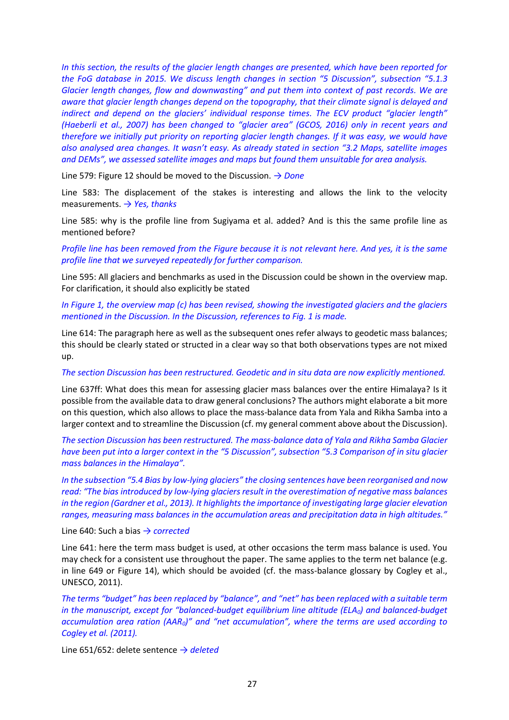*In this section, the results of the glacier length changes are presented, which have been reported for the FoG database in 2015. We discuss length changes in section "5 Discussion", subsection "5.1.3 Glacier length changes, flow and downwasting" and put them into context of past records. We are aware that glacier length changes depend on the topography, that their climate signal is delayed and indirect and depend on the glaciers' individual response times. The ECV product "glacier length" (Haeberli et al., 2007) has been changed to "glacier area" (GCOS, 2016) only in recent years and therefore we initially put priority on reporting glacier length changes. If it was easy, we would have also analysed area changes. It wasn't easy. As already stated in section "3.2 Maps, satellite images and DEMs", we assessed satellite images and maps but found them unsuitable for area analysis.* 

Line 579: Figure 12 should be moved to the Discussion. *→ Done*

Line 583: The displacement of the stakes is interesting and allows the link to the velocity measurements. *→ Yes, thanks*

Line 585: why is the profile line from Sugiyama et al. added? And is this the same profile line as mentioned before?

*Profile line has been removed from the Figure because it is not relevant here. And yes, it is the same profile line that we surveyed repeatedly for further comparison.* 

Line 595: All glaciers and benchmarks as used in the Discussion could be shown in the overview map. For clarification, it should also explicitly be stated

*In Figure 1, the overview map (c) has been revised, showing the investigated glaciers and the glaciers mentioned in the Discussion. In the Discussion, references to Fig. 1 is made.* 

Line 614: The paragraph here as well as the subsequent ones refer always to geodetic mass balances; this should be clearly stated or structed in a clear way so that both observations types are not mixed up.

#### *The section Discussion has been restructured. Geodetic and in situ data are now explicitly mentioned.*

Line 637ff: What does this mean for assessing glacier mass balances over the entire Himalaya? Is it possible from the available data to draw general conclusions? The authors might elaborate a bit more on this question, which also allows to place the mass-balance data from Yala and Rikha Samba into a larger context and to streamline the Discussion (cf. my general comment above about the Discussion).

*The section Discussion has been restructured. The mass-balance data of Yala and Rikha Samba Glacier have been put into a larger context in the "5 Discussion", subsection "5.3 Comparison of in situ glacier mass balances in the Himalaya".* 

*In the subsection "5.4 Bias by low-lying glaciers" the closing sentences have been reorganised and now read: "The bias introduced by low-lying glaciers result in the overestimation of negative mass balances in the region (Gardner et al., 2013). It highlights the importance of investigating large glacier elevation ranges, measuring mass balances in the accumulation areas and precipitation data in high altitudes."*

Line 640: Such a bias *→ corrected* 

Line 641: here the term mass budget is used, at other occasions the term mass balance is used. You may check for a consistent use throughout the paper. The same applies to the term net balance (e.g. in line 649 or Figure 14), which should be avoided (cf. the mass-balance glossary by Cogley et al., UNESCO, 2011).

*The terms "budget" has been replaced by "balance", and "net" has been replaced with a suitable term in the manuscript, except for "balanced-budget equilibrium line altitude (ELA0) and balanced-budget accumulation area ration (AAR0)" and "net accumulation", where the terms are used according to Cogley et al. (2011).* 

Line 651/652: delete sentence *→ deleted*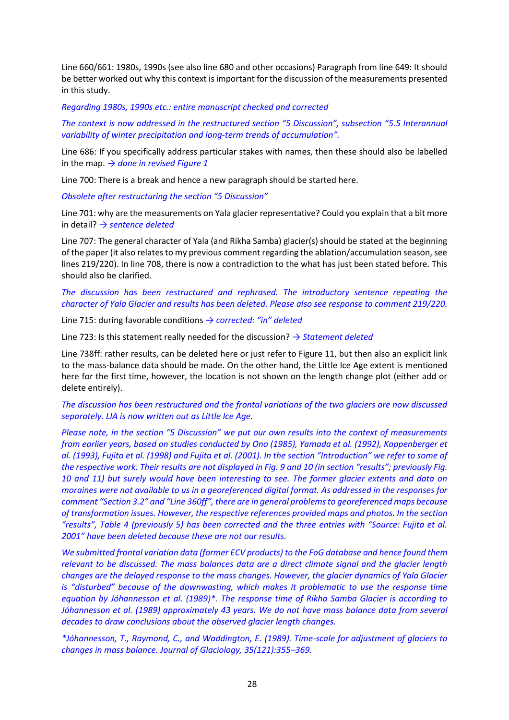Line 660/661: 1980s, 1990s (see also line 680 and other occasions) Paragraph from line 649: It should be better worked out why this context is important for the discussion of the measurements presented in this study.

#### *Regarding 1980s, 1990s etc.: entire manuscript checked and corrected*

*The context is now addressed in the restructured section "5 Discussion", subsection "5.5 Interannual variability of winter precipitation and long-term trends of accumulation".*

Line 686: If you specifically address particular stakes with names, then these should also be labelled in the map. *→ done in revised Figure 1*

Line 700: There is a break and hence a new paragraph should be started here.

*Obsolete after restructuring the section "5 Discussion"*

Line 701: why are the measurements on Yala glacier representative? Could you explain that a bit more in detail? *→ sentence deleted* 

Line 707: The general character of Yala (and Rikha Samba) glacier(s) should be stated at the beginning of the paper (it also relates to my previous comment regarding the ablation/accumulation season, see lines 219/220). In line 708, there is now a contradiction to the what has just been stated before. This should also be clarified.

# *The discussion has been restructured and rephrased. The introductory sentence repeating the character of Yala Glacier and results has been deleted. Please also see response to comment 219/220.*

Line 715: during favorable conditions *→ corrected: "in" deleted*

Line 723: Is this statement really needed for the discussion? *→ Statement deleted*

Line 738ff: rather results, can be deleted here or just refer to Figure 11, but then also an explicit link to the mass-balance data should be made. On the other hand, the Little Ice Age extent is mentioned here for the first time, however, the location is not shown on the length change plot (either add or delete entirely).

*The discussion has been restructured and the frontal variations of the two glaciers are now discussed separately. LIA is now written out as Little Ice Age.*

*Please note, in the section "5 Discussion" we put our own results into the context of measurements from earlier years, based on studies conducted by Ono (1985), Yamada et al. (1992), Kappenberger et al. (1993), Fujita et al. (1998) and Fujita et al. (2001). In the section "Introduction" we refer to some of the respective work. Their results are not displayed in Fig. 9 and 10 (in section "results"; previously Fig. 10 and 11) but surely would have been interesting to see. The former glacier extents and data on moraines were not available to us in a georeferenced digital format. As addressed in the responses for comment "Section 3.2" and "Line 360ff", there are in general problems to georeferenced maps because of transformation issues. However, the respective references provided maps and photos. In the section "results", Table 4 (previously 5) has been corrected and the three entries with "Source: Fujita et al. 2001" have been deleted because these are not our results.* 

*We submitted frontal variation data (former ECV products) to the FoG database and hence found them relevant to be discussed. The mass balances data are a direct climate signal and the glacier length changes are the delayed response to the mass changes. However, the glacier dynamics of Yala Glacier is "disturbed" because of the downwasting, which makes it problematic to use the response time equation by Jóhannesson et al. (1989)\*. The response time of Rikha Samba Glacier is according to Jóhannesson et al. (1989) approximately 43 years. We do not have mass balance data from several decades to draw conclusions about the observed glacier length changes.*

*\*Jóhannesson, T., Raymond, C., and Waddington, E. (1989). Time-scale for adjustment of glaciers to changes in mass balance. Journal of Glaciology, 35(121):355–369.*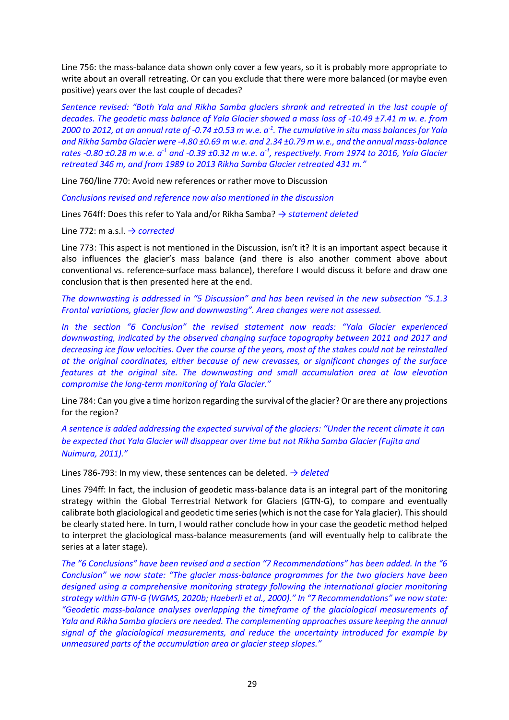Line 756: the mass-balance data shown only cover a few years, so it is probably more appropriate to write about an overall retreating. Or can you exclude that there were more balanced (or maybe even positive) years over the last couple of decades?

*Sentence revised: "Both Yala and Rikha Samba glaciers shrank and retreated in the last couple of decades. The geodetic mass balance of Yala Glacier showed a mass loss of -10.49 ±7.41 m w. e. from 2000 to 2012, at an annual rate of -0.74 ±0.53 m w.e. a-1 . The cumulative in situ mass balances for Yala and Rikha Samba Glacier were -4.80 ±0.69 m w.e. and 2.34 ±0.79 m w.e., and the annual mass-balance rates -0.80 ±0.28 m w.e. a-1 and -0.39 ±0.32 m w.e. a-1 , respectively. From 1974 to 2016, Yala Glacier retreated 346 m, and from 1989 to 2013 Rikha Samba Glacier retreated 431 m."*

Line 760/line 770: Avoid new references or rather move to Discussion

*Conclusions revised and reference now also mentioned in the discussion*

Lines 764ff: Does this refer to Yala and/or Rikha Samba? *→ statement deleted*

Line 772: m a.s.l. *→ corrected*

Line 773: This aspect is not mentioned in the Discussion, isn't it? It is an important aspect because it also influences the glacier's mass balance (and there is also another comment above about conventional vs. reference-surface mass balance), therefore I would discuss it before and draw one conclusion that is then presented here at the end.

*The downwasting is addressed in "5 Discussion" and has been revised in the new subsection "5.1.3 Frontal variations, glacier flow and downwasting". Area changes were not assessed.* 

*In the section "6 Conclusion" the revised statement now reads: "Yala Glacier experienced downwasting, indicated by the observed changing surface topography between 2011 and 2017 and decreasing ice flow velocities. Over the course of the years, most of the stakes could not be reinstalled at the original coordinates, either because of new crevasses, or significant changes of the surface features at the original site. The downwasting and small accumulation area at low elevation compromise the long-term monitoring of Yala Glacier."*

Line 784: Can you give a time horizon regarding the survival of the glacier? Or are there any projections for the region?

*A sentence is added addressing the expected survival of the glaciers: "Under the recent climate it can be expected that Yala Glacier will disappear over time but not Rikha Samba Glacier (Fujita and Nuimura, 2011)."*

Lines 786-793: In my view, these sentences can be deleted. *→ deleted* 

Lines 794ff: In fact, the inclusion of geodetic mass-balance data is an integral part of the monitoring strategy within the Global Terrestrial Network for Glaciers (GTN-G), to compare and eventually calibrate both glaciological and geodetic time series (which is not the case for Yala glacier). This should be clearly stated here. In turn, I would rather conclude how in your case the geodetic method helped to interpret the glaciological mass-balance measurements (and will eventually help to calibrate the series at a later stage).

*The "6 Conclusions" have been revised and a section "7 Recommendations" has been added. In the "6 Conclusion" we now state: "The glacier mass-balance programmes for the two glaciers have been designed using a comprehensive monitoring strategy following the international glacier monitoring strategy within GTN-G (WGMS, 2020b; Haeberli et al., 2000)." In "7 Recommendations" we now state: "Geodetic mass-balance analyses overlapping the timeframe of the glaciological measurements of Yala and Rikha Samba glaciers are needed. The complementing approaches assure keeping the annual signal of the glaciological measurements, and reduce the uncertainty introduced for example by unmeasured parts of the accumulation area or glacier steep slopes."*